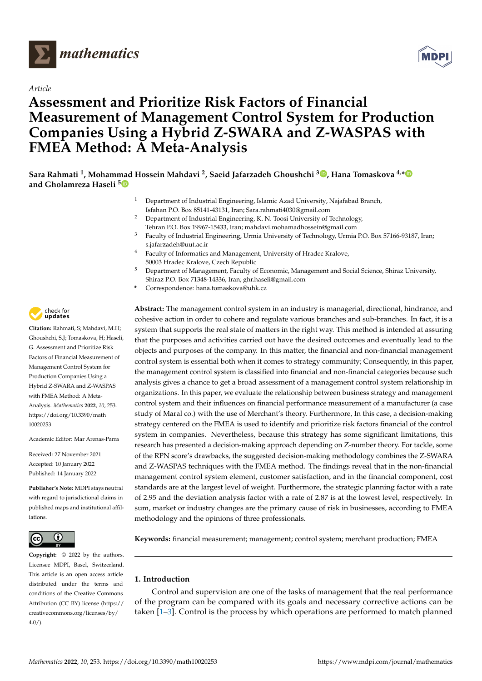



# **Assessment and Prioritize Risk Factors of Financial Measurement of Management Control System for Production Companies Using a Hybrid Z-SWARA and Z-WASPAS with FMEA Method: A Meta-Analysis**

**Sara Rahmati <sup>1</sup> , Mohammad Hossein Mahdavi <sup>2</sup> , Saeid Jafarzadeh Ghoushchi <sup>3</sup> [,](https://orcid.org/0000-0003-3665-9010) Hana Tomaskova 4,[\\*](https://orcid.org/0000-0003-1744-5826) and Gholamreza Haseli [5](https://orcid.org/0000-0002-1180-1933)**

- <sup>1</sup> Department of Industrial Engineering, Islamic Azad University, Najafabad Branch, Isfahan P.O. Box 85141-43131, Iran; Sara.rahmati4030@gmail.com
- <sup>2</sup> Department of Industrial Engineering, K. N. Toosi University of Technology, Tehran P.O. Box 19967-15433, Iran; mahdavi.mohamadhossein@gmail.com
- <sup>3</sup> Faculty of Industrial Engineering, Urmia University of Technology, Urmia P.O. Box 57166-93187, Iran; s.jafarzadeh@uut.ac.ir
- <sup>4</sup> Faculty of Informatics and Management, University of Hradec Kralove, 50003 Hradec Kralove, Czech Republic
- <sup>5</sup> Department of Management, Faculty of Economic, Management and Social Science, Shiraz University, Shiraz P.O. Box 71348-14336, Iran; ghr.haseli@gmail.com
- **\*** Correspondence: hana.tomaskova@uhk.cz

**Abstract:** The management control system in an industry is managerial, directional, hindrance, and cohesive action in order to cohere and regulate various branches and sub-branches. In fact, it is a system that supports the real state of matters in the right way. This method is intended at assuring that the purposes and activities carried out have the desired outcomes and eventually lead to the objects and purposes of the company. In this matter, the financial and non-financial management control system is essential both when it comes to strategy community; Consequently, in this paper, the management control system is classified into financial and non-financial categories because such analysis gives a chance to get a broad assessment of a management control system relationship in organizations. In this paper, we evaluate the relationship between business strategy and management control system and their influences on financial performance measurement of a manufacturer (a case study of Maral co.) with the use of Merchant's theory. Furthermore, In this case, a decision-making strategy centered on the FMEA is used to identify and prioritize risk factors financial of the control system in companies. Nevertheless, because this strategy has some significant limitations, this research has presented a decision-making approach depending on Z-number theory. For tackle, some of the RPN score's drawbacks, the suggested decision-making methodology combines the Z-SWARA and Z-WASPAS techniques with the FMEA method. The findings reveal that in the non-financial management control system element, customer satisfaction, and in the financial component, cost standards are at the largest level of weight. Furthermore, the strategic planning factor with a rate of 2.95 and the deviation analysis factor with a rate of 2.87 is at the lowest level, respectively. In sum, market or industry changes are the primary cause of risk in businesses, according to FMEA methodology and the opinions of three professionals.

**Keywords:** financial measurement; management; control system; merchant production; FMEA

# **1. Introduction**

Control and supervision are one of the tasks of management that the real performance of the program can be compared with its goals and necessary corrective actions can be taken [\[1](#page-23-0)[–3\]](#page-23-1). Control is the process by which operations are performed to match planned



**Citation:** Rahmati, S; Mahdavi, M.H; Ghoushchi, S.J; Tomaskova, H; Haseli, G. Assessment and Prioritize Risk Factors of Financial Measurement of Management Control System for Production Companies Using a Hybrid Z-SWARA and Z-WASPAS with FMEA Method: A Meta-Analysis. *Mathematics* **2022**, *10*, 253. [https://doi.org/10.3390/math](https://doi.org/10.3390/math10020253) [10020253](https://doi.org/10.3390/math10020253)

Academic Editor: Mar Arenas-Parra

Received: 27 November 2021 Accepted: 10 January 2022 Published: 14 January 2022

**Publisher's Note:** MDPI stays neutral with regard to jurisdictional claims in published maps and institutional affiliations.



**Copyright:** © 2022 by the authors. Licensee MDPI, Basel, Switzerland. This article is an open access article distributed under the terms and conditions of the Creative Commons Attribution (CC BY) license [\(https://](https://creativecommons.org/licenses/by/4.0/) [creativecommons.org/licenses/by/](https://creativecommons.org/licenses/by/4.0/)  $4.0/$ ).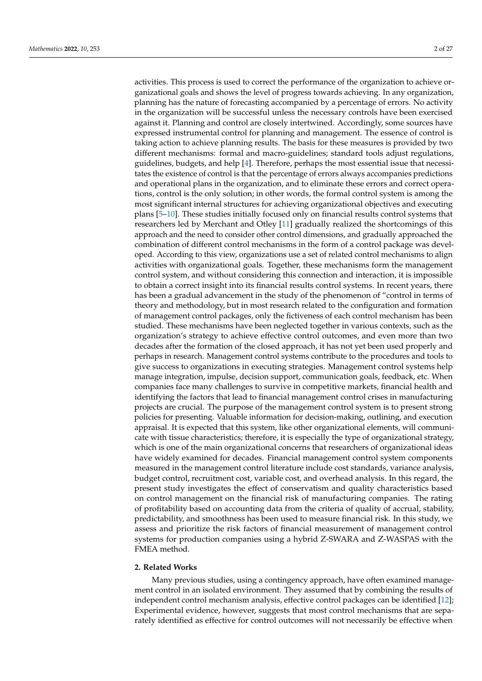activities. This process is used to correct the performance of the organization to achieve organizational goals and shows the level of progress towards achieving. In any organization, planning has the nature of forecasting accompanied by a percentage of errors. No activity in the organization will be successful unless the necessary controls have been exercised against it. Planning and control are closely intertwined. Accordingly, some sources have expressed instrumental control for planning and management. The essence of control is taking action to achieve planning results. The basis for these measures is provided by two different mechanisms: formal and macro-guidelines; standard tools adjust regulations, guidelines, budgets, and help [\[4\]](#page-23-2). Therefore, perhaps the most essential issue that necessitates the existence of control is that the percentage of errors always accompanies predictions and operational plans in the organization, and to eliminate these errors and correct operations, control is the only solution; in other words, the formal control system is among the most significant internal structures for achieving organizational objectives and executing plans [\[5](#page-23-3)[–10\]](#page-23-4). These studies initially focused only on financial results control systems that researchers led by Merchant and Otley [\[11\]](#page-23-5) gradually realized the shortcomings of this approach and the need to consider other control dimensions, and gradually approached the combination of different control mechanisms in the form of a control package was developed. According to this view, organizations use a set of related control mechanisms to align activities with organizational goals. Together, these mechanisms form the management control system, and without considering this connection and interaction, it is impossible to obtain a correct insight into its financial results control systems. In recent years, there has been a gradual advancement in the study of the phenomenon of "control in terms of theory and methodology, but in most research related to the configuration and formation of management control packages, only the fictiveness of each control mechanism has been studied. These mechanisms have been neglected together in various contexts, such as the organization's strategy to achieve effective control outcomes, and even more than two decades after the formation of the closed approach, it has not yet been used properly and perhaps in research. Management control systems contribute to the procedures and tools to give success to organizations in executing strategies. Management control systems help manage integration, impulse, decision support, communication goals, feedback, etc. When companies face many challenges to survive in competitive markets, financial health and identifying the factors that lead to financial management control crises in manufacturing projects are crucial. The purpose of the management control system is to present strong policies for presenting. Valuable information for decision-making, outlining, and execution appraisal. It is expected that this system, like other organizational elements, will communicate with tissue characteristics; therefore, it is especially the type of organizational strategy, which is one of the main organizational concerns that researchers of organizational ideas have widely examined for decades. Financial management control system components measured in the management control literature include cost standards, variance analysis, budget control, recruitment cost, variable cost, and overhead analysis. In this regard, the present study investigates the effect of conservatism and quality characteristics based on control management on the financial risk of manufacturing companies. The rating of profitability based on accounting data from the criteria of quality of accrual, stability, predictability, and smoothness has been used to measure financial risk. In this study, we assess and prioritize the risk factors of financial measurement of management control systems for production companies using a hybrid Z-SWARA and Z-WASPAS with the FMEA method.

#### **2. Related Works**

Many previous studies, using a contingency approach, have often examined management control in an isolated environment. They assumed that by combining the results of independent control mechanism analysis, effective control packages can be identified [\[12\]](#page-23-6); Experimental evidence, however, suggests that most control mechanisms that are separately identified as effective for control outcomes will not necessarily be effective when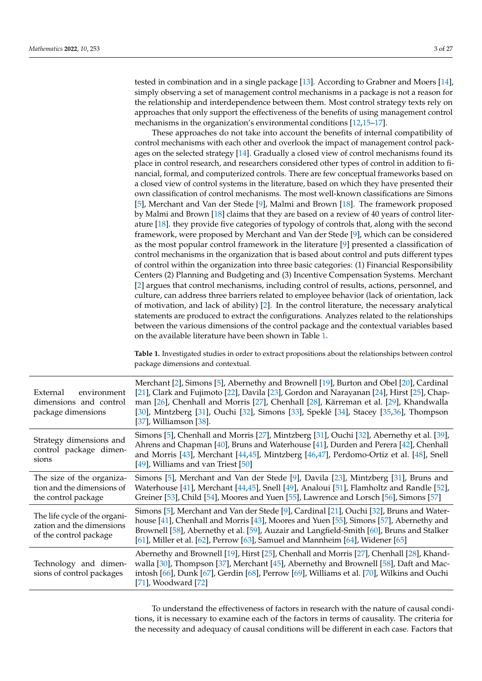tested in combination and in a single package [\[13\]](#page-23-7). According to Grabner and Moers [\[14\]](#page-23-8), simply observing a set of management control mechanisms in a package is not a reason for the relationship and interdependence between them. Most control strategy texts rely on approaches that only support the effectiveness of the benefits of using management control mechanisms in the organization's environmental conditions [\[12](#page-23-6)[,15–](#page-23-9)[17\]](#page-23-10).

These approaches do not take into account the benefits of internal compatibility of control mechanisms with each other and overlook the impact of management control packages on the selected strategy [\[14\]](#page-23-8). Gradually a closed view of control mechanisms found its place in control research, and researchers considered other types of control in addition to financial, formal, and computerized controls. There are few conceptual frameworks based on a closed view of control systems in the literature, based on which they have presented their own classification of control mechanisms. The most well-known classifications are Simons [\[5\]](#page-23-3), Merchant and Van der Stede [\[9\]](#page-23-11), Malmi and Brown [\[18\]](#page-23-12). The framework proposed by Malmi and Brown [\[18\]](#page-23-12) claims that they are based on a review of 40 years of control literature [\[18\]](#page-23-12). they provide five categories of typology of controls that, along with the second framework, were proposed by Merchant and Van der Stede [\[9\]](#page-23-11), which can be considered as the most popular control framework in the literature [\[9\]](#page-23-11) presented a classification of control mechanisms in the organization that is based about control and puts different types of control within the organization into three basic categories: (1) Financial Responsibility Centers (2) Planning and Budgeting and (3) Incentive Compensation Systems. Merchant [\[2\]](#page-23-13) argues that control mechanisms, including control of results, actions, personnel, and culture, can address three barriers related to employee behavior (lack of orientation, lack of motivation, and lack of ability)  $[2]$ . In the control literature, the necessary analytical statements are produced to extract the configurations. Analyzes related to the relationships between the various dimensions of the control package and the contextual variables based on the available literature have been shown in Table [1.](#page-2-0)

<span id="page-2-0"></span>**Table 1.** Investigated studies in order to extract propositions about the relationships between control package dimensions and contextual.

| External<br>environment<br>dimensions and control<br>package dimensions              | Merchant [2], Simons [5], Abernethy and Brownell [19], Burton and Obel [20], Cardinal<br>[21], Clark and Fujimoto [22], Davila [23], Gordon and Narayanan [24], Hirst [25], Chap-<br>man [26], Chenhall and Morris [27], Chenhall [28], Kärreman et al. [29], Khandwalla<br>[30], Mintzberg [31], Ouchi [32], Simons [33], Speklé [34], Stacey [35,36], Thompson<br>[37], Williamson $[38]$ . |
|--------------------------------------------------------------------------------------|-----------------------------------------------------------------------------------------------------------------------------------------------------------------------------------------------------------------------------------------------------------------------------------------------------------------------------------------------------------------------------------------------|
| Strategy dimensions and<br>control package dimen-<br>sions                           | Simons [5], Chenhall and Morris [27], Mintzberg [31], Ouchi [32], Abernethy et al. [39],<br>Ahrens and Chapman [40], Bruns and Waterhouse [41], Durden and Perera [42], Chenhall<br>and Morris [43], Merchant [44,45], Mintzberg [46,47], Perdomo-Ortiz et al. [48], Snell<br>[49], Williams and van Triest $[50]$                                                                            |
| The size of the organiza-<br>tion and the dimensions of<br>the control package       | Simons [5], Merchant and Van der Stede [9], Davila [23], Mintzberg [31], Bruns and<br>Waterhouse [41], Merchant [44,45], Snell [49], Analoui [51], Flamholtz and Randle [52],<br>Greiner [53], Child [54], Moores and Yuen [55], Lawrence and Lorsch [56], Simons [57]                                                                                                                        |
| The life cycle of the organi-<br>zation and the dimensions<br>of the control package | Simons [5], Merchant and Van der Stede [9], Cardinal [21], Ouchi [32], Bruns and Water-<br>house [41], Chenhall and Morris [43], Moores and Yuen [55], Simons [57], Abernethy and<br>Brownell [58], Abernethy et al. [59], Auzair and Langfield-Smith [60], Bruns and Stalker<br>[61], Miller et al. [62], Perrow [63], Samuel and Mannheim [64], Widener [65]                                |
| Technology and dimen-<br>sions of control packages                                   | Abernethy and Brownell [19], Hirst [25], Chenhall and Morris [27], Chenhall [28], Khand-<br>walla [30], Thompson [37], Merchant [45], Abernethy and Brownell [58], Daft and Mac-<br>intosh [66], Dunk [67], Gerdin [68], Perrow [69], Williams et al. [70], Wilkins and Ouchi<br>$[71]$ , Woodward $[72]$                                                                                     |

To understand the effectiveness of factors in research with the nature of causal conditions, it is necessary to examine each of the factors in terms of causality. The criteria for the necessity and adequacy of causal conditions will be different in each case. Factors that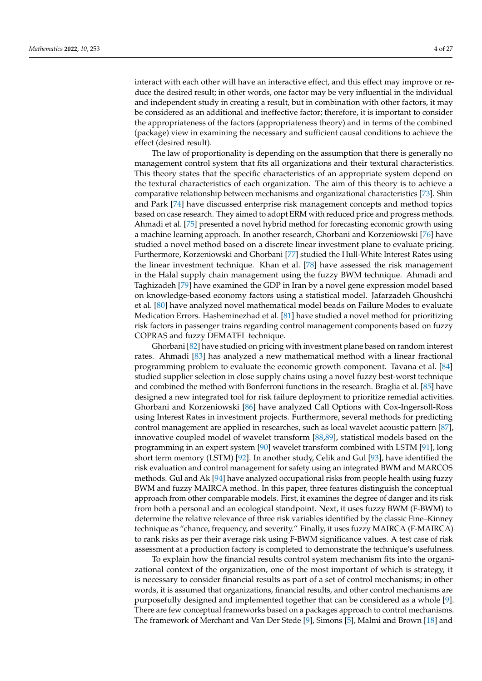interact with each other will have an interactive effect, and this effect may improve or reduce the desired result; in other words, one factor may be very influential in the individual and independent study in creating a result, but in combination with other factors, it may be considered as an additional and ineffective factor; therefore, it is important to consider the appropriateness of the factors (appropriateness theory) and in terms of the combined

effect (desired result). The law of proportionality is depending on the assumption that there is generally no management control system that fits all organizations and their textural characteristics. This theory states that the specific characteristics of an appropriate system depend on the textural characteristics of each organization. The aim of this theory is to achieve a comparative relationship between mechanisms and organizational characteristics [\[73\]](#page-25-11). Shin and Park [\[74\]](#page-25-12) have discussed enterprise risk management concepts and method topics based on case research. They aimed to adopt ERM with reduced price and progress methods. Ahmadi et al. [\[75\]](#page-25-13) presented a novel hybrid method for forecasting economic growth using a machine learning approach. In another research, Ghorbani and Korzeniowski [\[76\]](#page-25-14) have studied a novel method based on a discrete linear investment plane to evaluate pricing. Furthermore, Korzeniowski and Ghorbani [\[77\]](#page-25-15) studied the Hull-White Interest Rates using the linear investment technique. Khan et al. [\[78\]](#page-25-16) have assessed the risk management in the Halal supply chain management using the fuzzy BWM technique. Ahmadi and Taghizadeh [\[79\]](#page-25-17) have examined the GDP in Iran by a novel gene expression model based on knowledge-based economy factors using a statistical model. Jafarzadeh Ghoushchi et al. [\[80\]](#page-25-18) have analyzed novel mathematical model beads on Failure Modes to evaluate Medication Errors. Hasheminezhad et al. [\[81\]](#page-25-19) have studied a novel method for prioritizing risk factors in passenger trains regarding control management components based on fuzzy COPRAS and fuzzy DEMATEL technique.

(package) view in examining the necessary and sufficient causal conditions to achieve the

Ghorbani [\[82\]](#page-25-20) have studied on pricing with investment plane based on random interest rates. Ahmadi [\[83\]](#page-25-21) has analyzed a new mathematical method with a linear fractional programming problem to evaluate the economic growth component. Tavana et al. [\[84\]](#page-25-22) studied supplier selection in close supply chains using a novel fuzzy best-worst technique and combined the method with Bonferroni functions in the research. Braglia et al. [\[85\]](#page-25-23) have designed a new integrated tool for risk failure deployment to prioritize remedial activities. Ghorbani and Korzeniowski [\[86\]](#page-25-24) have analyzed Call Options with Cox-Ingersoll-Ross using Interest Rates in investment projects. Furthermore, several methods for predicting control management are applied in researches, such as local wavelet acoustic pattern [\[87\]](#page-25-25), innovative coupled model of wavelet transform [\[88](#page-25-26)[,89\]](#page-25-27), statistical models based on the programming in an expert system [\[90\]](#page-25-28) wavelet transform combined with LSTM [\[91\]](#page-25-29), long short term memory (LSTM) [\[92\]](#page-25-30). In another study, Celik and Gul [\[93\]](#page-25-31), have identified the risk evaluation and control management for safety using an integrated BWM and MARCOS methods. Gul and Ak [\[94\]](#page-25-32) have analyzed occupational risks from people health using fuzzy BWM and fuzzy MAIRCA method. In this paper, three features distinguish the conceptual approach from other comparable models. First, it examines the degree of danger and its risk from both a personal and an ecological standpoint. Next, it uses fuzzy BWM (F-BWM) to determine the relative relevance of three risk variables identified by the classic Fine–Kinney technique as "chance, frequency, and severity." Finally, it uses fuzzy MAIRCA (F-MAIRCA) to rank risks as per their average risk using F-BWM significance values. A test case of risk assessment at a production factory is completed to demonstrate the technique's usefulness.

To explain how the financial results control system mechanism fits into the organizational context of the organization, one of the most important of which is strategy, it is necessary to consider financial results as part of a set of control mechanisms; in other words, it is assumed that organizations, financial results, and other control mechanisms are purposefully designed and implemented together that can be considered as a whole [\[9\]](#page-23-11). There are few conceptual frameworks based on a packages approach to control mechanisms. The framework of Merchant and Van Der Stede [\[9\]](#page-23-11), Simons [\[5\]](#page-23-3), Malmi and Brown [\[18\]](#page-23-12) and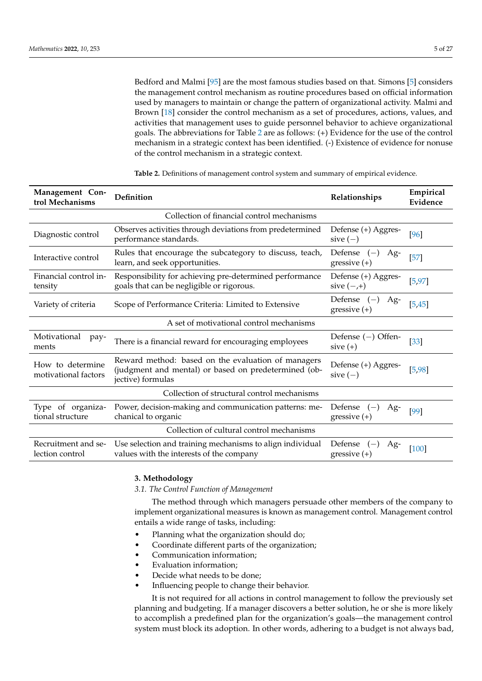Bedford and Malmi [\[95\]](#page-25-33) are the most famous studies based on that. Simons [\[5\]](#page-23-3) considers the management control mechanism as routine procedures based on official information used by managers to maintain or change the pattern of organizational activity. Malmi and Brown [\[18\]](#page-23-12) consider the control mechanism as a set of procedures, actions, values, and activities that management uses to guide personnel behavior to achieve organizational goals. The abbreviations for Table [2](#page-4-0) are as follows: (+) Evidence for the use of the control mechanism in a strategic context has been identified. (-) Existence of evidence for nonuse of the control mechanism in a strategic context.

| Management Con-<br>trol Mechanisms       | Definition                                                                                                                      | Relationships                             | Empirical<br>Evidence |  |  |
|------------------------------------------|---------------------------------------------------------------------------------------------------------------------------------|-------------------------------------------|-----------------------|--|--|
|                                          | Collection of financial control mechanisms                                                                                      |                                           |                       |  |  |
| Diagnostic control                       | Observes activities through deviations from predetermined<br>performance standards.                                             | Defense (+) Aggres-<br>sive $(-)$         | [96]                  |  |  |
| Interactive control                      | Rules that encourage the subcategory to discuss, teach,<br>learn, and seek opportunities.                                       | Defense $(-)$<br>Ag-<br>gressive $(+)$    | $[57]$                |  |  |
| Financial control in-<br>tensity         | Responsibility for achieving pre-determined performance<br>goals that can be negligible or rigorous.                            | Defense (+) Aggres-<br>sive $(-,+)$       | [5, 97]               |  |  |
| Variety of criteria                      | Scope of Performance Criteria: Limited to Extensive                                                                             | Defense $(-)$<br>Ag-<br>gressive $(+)$    | [5, 45]               |  |  |
|                                          | A set of motivational control mechanisms                                                                                        |                                           |                       |  |  |
| Motivational<br>pay-<br>ments            | There is a financial reward for encouraging employees                                                                           | Defense $(-)$ Offen-<br>$sive (+)$        | $[33]$                |  |  |
| How to determine<br>motivational factors | Reward method: based on the evaluation of managers<br>(judgment and mental) or based on predetermined (ob-<br>jective) formulas | Defense (+) Aggres-<br>sive $(-)$         | [5, 98]               |  |  |
|                                          | Collection of structural control mechanisms                                                                                     |                                           |                       |  |  |
| Type of organiza-<br>tional structure    | Power, decision-making and communication patterns: me-<br>chanical to organic                                                   | Defense<br>Ag-<br>$(-)$<br>gressive $(+)$ | [99]                  |  |  |
|                                          | Collection of cultural control mechanisms                                                                                       |                                           |                       |  |  |
| Recruitment and se-<br>lection control   | Use selection and training mechanisms to align individual<br>values with the interests of the company                           | Defense<br>Ag-<br>$(-)$<br>gressive $(+)$ | $[100]$               |  |  |

<span id="page-4-0"></span>**Table 2.** Definitions of management control system and summary of empirical evidence.

## **3. Methodology**

*3.1. The Control Function of Management*

The method through which managers persuade other members of the company to implement organizational measures is known as management control. Management control entails a wide range of tasks, including:

- Planning what the organization should do;
- Coordinate different parts of the organization;
- Communication information;
- Evaluation information;
- Decide what needs to be done;
- Influencing people to change their behavior.

It is not required for all actions in control management to follow the previously set planning and budgeting. If a manager discovers a better solution, he or she is more likely to accomplish a predefined plan for the organization's goals—the management control system must block its adoption. In other words, adhering to a budget is not always bad,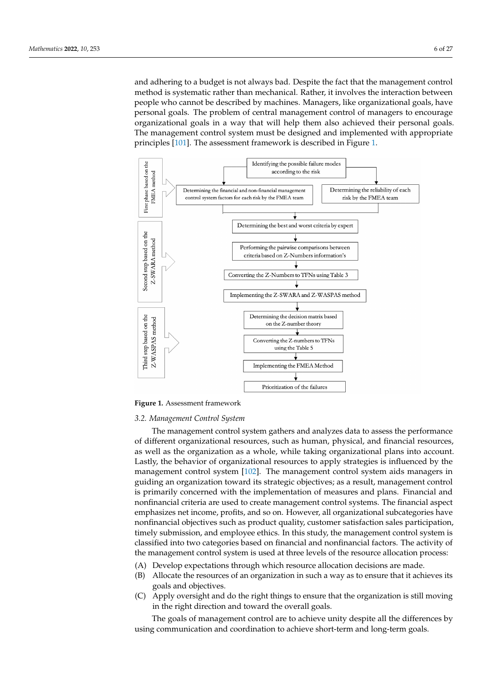and adhering to a budget is not always bad. Despite the fact that the management control method is systematic rather than mechanical. Rather, it involves the interaction between people who cannot be described by machines. Managers, like organizational goals, have personal goals. The problem of central management control of managers to encourage organizational goals in a way that will help them also achieved their personal goals. The management control system must be designed and implemented with appropriate principles [\[101\]](#page-26-4). The assessment framework is described in Figure [1.](#page-5-0)

<span id="page-5-0"></span>

**Figure 1.** Assessment framework

#### *3.2. Management Control System*

The management control system gathers and analyzes data to assess the performance of different organizational resources, such as human, physical, and financial resources, as well as the organization as a whole, while taking organizational plans into account. Lastly, the behavior of organizational resources to apply strategies is influenced by the management control system [\[102\]](#page-26-5). The management control system aids managers in guiding an organization toward its strategic objectives; as a result, management control is primarily concerned with the implementation of measures and plans. Financial and nonfinancial criteria are used to create management control systems. The financial aspect emphasizes net income, profits, and so on. However, all organizational subcategories have nonfinancial objectives such as product quality, customer satisfaction sales participation, timely submission, and employee ethics. In this study, the management control system is classified into two categories based on financial and nonfinancial factors. The activity of the management control system is used at three levels of the resource allocation process:

- (A) Develop expectations through which resource allocation decisions are made.
- (B) Allocate the resources of an organization in such a way as to ensure that it achieves its goals and objectives.
- (C) Apply oversight and do the right things to ensure that the organization is still moving in the right direction and toward the overall goals.

The goals of management control are to achieve unity despite all the differences by using communication and coordination to achieve short-term and long-term goals.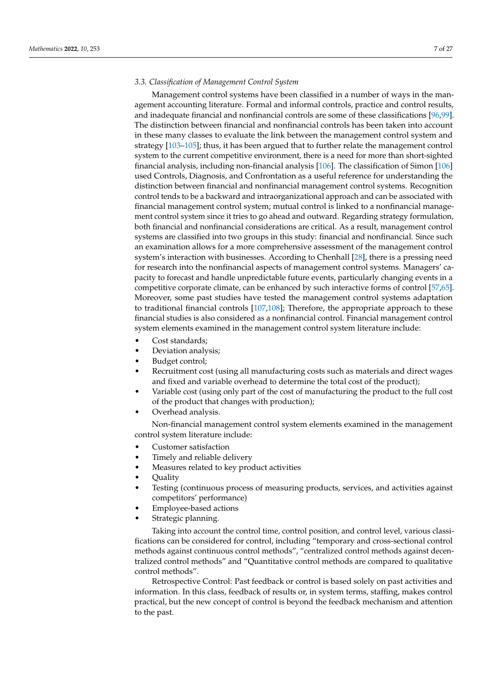## *3.3. Classification of Management Control System*

Management control systems have been classified in a number of ways in the management accounting literature. Formal and informal controls, practice and control results, and inadequate financial and nonfinancial controls are some of these classifications [\[96](#page-25-34)[,99\]](#page-26-2). The distinction between financial and nonfinancial controls has been taken into account in these many classes to evaluate the link between the management control system and strategy [\[103–](#page-26-6)[105\]](#page-26-7); thus, it has been argued that to further relate the management control system to the current competitive environment, there is a need for more than short-sighted financial analysis, including non-financial analysis [\[106\]](#page-26-8). The classification of Simon [\[106\]](#page-26-8) used Controls, Diagnosis, and Confrontation as a useful reference for understanding the distinction between financial and nonfinancial management control systems. Recognition control tends to be a backward and intraorganizational approach and can be associated with financial management control system; mutual control is linked to a nonfinancial management control system since it tries to go ahead and outward. Regarding strategy formulation, both financial and nonfinancial considerations are critical. As a result, management control systems are classified into two groups in this study: financial and nonfinancial. Since such an examination allows for a more comprehensive assessment of the management control system's interaction with businesses. According to Chenhall [\[28\]](#page-24-2), there is a pressing need for research into the nonfinancial aspects of management control systems. Managers' capacity to forecast and handle unpredictable future events, particularly changing events in a competitive corporate climate, can be enhanced by such interactive forms of control [\[57](#page-24-31)[,65\]](#page-25-3). Moreover, some past studies have tested the management control systems adaptation to traditional financial controls  $[107,108]$  $[107,108]$ ; Therefore, the appropriate approach to these financial studies is also considered as a nonfinancial control. Financial management control system elements examined in the management control system literature include:

- Cost standards:
- Deviation analysis;
- Budget control;
- Recruitment cost (using all manufacturing costs such as materials and direct wages and fixed and variable overhead to determine the total cost of the product);
- Variable cost (using only part of the cost of manufacturing the product to the full cost of the product that changes with production);
- Overhead analysis.

Non-financial management control system elements examined in the management control system literature include:

- Customer satisfaction
- Timely and reliable delivery
- Measures related to key product activities
- Quality
- Testing (continuous process of measuring products, services, and activities against competitors' performance)
- Employee-based actions
- Strategic planning.

Taking into account the control time, control position, and control level, various classifications can be considered for control, including "temporary and cross-sectional control methods against continuous control methods", "centralized control methods against decentralized control methods" and "Quantitative control methods are compared to qualitative control methods".

Retrospective Control: Past feedback or control is based solely on past activities and information. In this class, feedback of results or, in system terms, staffing, makes control practical, but the new concept of control is beyond the feedback mechanism and attention to the past.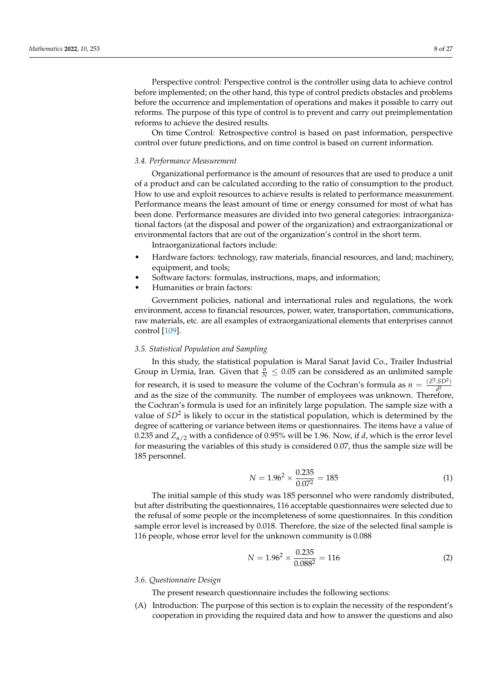Perspective control: Perspective control is the controller using data to achieve control before implemented; on the other hand, this type of control predicts obstacles and problems before the occurrence and implementation of operations and makes it possible to carry out reforms. The purpose of this type of control is to prevent and carry out preimplementation reforms to achieve the desired results.

On time Control: Retrospective control is based on past information, perspective control over future predictions, and on time control is based on current information.

#### *3.4. Performance Measurement*

Organizational performance is the amount of resources that are used to produce a unit of a product and can be calculated according to the ratio of consumption to the product. How to use and exploit resources to achieve results is related to performance measurement. Performance means the least amount of time or energy consumed for most of what has been done. Performance measures are divided into two general categories: intraorganizational factors (at the disposal and power of the organization) and extraorganizational or environmental factors that are out of the organization's control in the short term.

Intraorganizational factors include:

- Hardware factors: technology, raw materials, financial resources, and land; machinery, equipment, and tools;
- Software factors: formulas, instructions, maps, and information;
- Humanities or brain factors:

Government policies, national and international rules and regulations, the work environment, access to financial resources, power, water, transportation, communications, raw materials, etc. are all examples of extraorganizational elements that enterprises cannot control [\[109\]](#page-26-11).

## *3.5. Statistical Population and Sampling*

In this study, the statistical population is Maral Sanat Javid Co., Trailer Industrial Group in Urmia, Iran. Given that  $\frac{n}{N} \leq 0.05$  can be considered as an unlimited sample for research, it is used to measure the volume of the Cochran's formula as  $n = \frac{(Z^2 \cdot SD^2)}{d^2}$ *d* 2 and as the size of the community. The number of employees was unknown. Therefore, the Cochran's formula is used for an infinitely large population. The sample size with a value of  $SD^2$  is likely to occur in the statistical population, which is determined by the degree of scattering or variance between items or questionnaires. The items have a value of 0.235 and  $Z_{\alpha/2}$  with a confidence of 0.95% will be 1.96. Now, if *d*, which is the error level for measuring the variables of this study is considered 0.07, thus the sample size will be 185 personnel.

$$
N = 1.962 \times \frac{0.235}{0.072} = 185
$$
 (1)

The initial sample of this study was 185 personnel who were randomly distributed, but after distributing the questionnaires, 116 acceptable questionnaires were selected due to the refusal of some people or the incompleteness of some questionnaires. In this condition sample error level is increased by 0.018. Therefore, the size of the selected final sample is 116 people, whose error level for the unknown community is 0.088

$$
N = 1.962 \times \frac{0.235}{0.0882} = 116
$$
 (2)

#### *3.6. Questionnaire Design*

The present research questionnaire includes the following sections:

(A) Introduction: The purpose of this section is to explain the necessity of the respondent's cooperation in providing the required data and how to answer the questions and also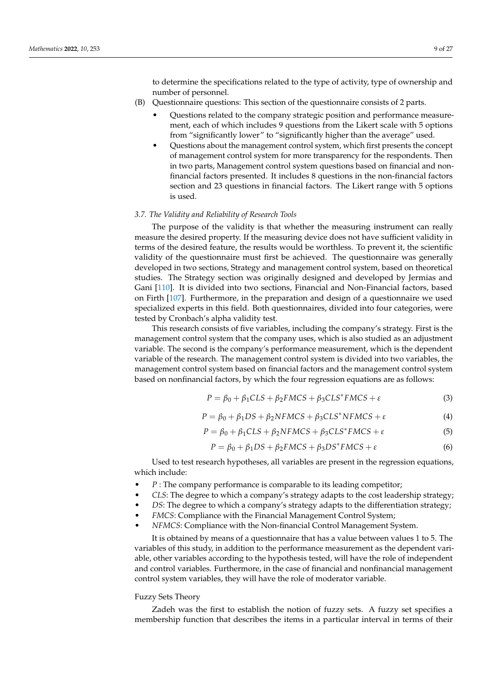to determine the specifications related to the type of activity, type of ownership and number of personnel.

- (B) Questionnaire questions: This section of the questionnaire consists of 2 parts.
	- Questions related to the company strategic position and performance measurement, each of which includes 9 questions from the Likert scale with 5 options from "significantly lower" to "significantly higher than the average" used.
	- Questions about the management control system, which first presents the concept of management control system for more transparency for the respondents. Then in two parts, Management control system questions based on financial and nonfinancial factors presented. It includes 8 questions in the non-financial factors section and 23 questions in financial factors. The Likert range with 5 options is used.

## *3.7. The Validity and Reliability of Research Tools*

The purpose of the validity is that whether the measuring instrument can really measure the desired property. If the measuring device does not have sufficient validity in terms of the desired feature, the results would be worthless. To prevent it, the scientific validity of the questionnaire must first be achieved. The questionnaire was generally developed in two sections, Strategy and management control system, based on theoretical studies. The Strategy section was originally designed and developed by Jermias and Gani [\[110\]](#page-26-12). It is divided into two sections, Financial and Non-Financial factors, based on Firth [\[107\]](#page-26-9). Furthermore, in the preparation and design of a questionnaire we used specialized experts in this field. Both questionnaires, divided into four categories, were tested by Cronbach's alpha validity test.

This research consists of five variables, including the company's strategy. First is the management control system that the company uses, which is also studied as an adjustment variable. The second is the company's performance measurement, which is the dependent variable of the research. The management control system is divided into two variables, the management control system based on financial factors and the management control system based on nonfinancial factors, by which the four regression equations are as follows:

$$
P = \beta_0 + \beta_1 CLS + \beta_2 FMCS + \beta_3 CLS^* FMCS + \varepsilon
$$
\n(3)

$$
P = \beta_0 + \beta_1 DS + \beta_2 NFMCS + \beta_3 CLS^* NFMCS + \varepsilon
$$
\n(4)

$$
P = \beta_0 + \beta_1 CLS + \beta_2 NFMCS + \beta_3 CLS^*FMCS + \varepsilon
$$
\n(5)

$$
P = \beta_0 + \beta_1 DS + \beta_2 FMCS + \beta_3 DS^* FMCS + \varepsilon
$$
\n(6)

Used to test research hypotheses, all variables are present in the regression equations, which include:

- *P* : The company performance is comparable to its leading competitor;
- *CLS*: The degree to which a company's strategy adapts to the cost leadership strategy;
- *DS*: The degree to which a company's strategy adapts to the differentiation strategy;
- *FMCS*: Compliance with the Financial Management Control System;
- *NFMCS*: Compliance with the Non-financial Control Management System.

It is obtained by means of a questionnaire that has a value between values 1 to 5. The variables of this study, in addition to the performance measurement as the dependent variable, other variables according to the hypothesis tested, will have the role of independent and control variables. Furthermore, in the case of financial and nonfinancial management control system variables, they will have the role of moderator variable.

## Fuzzy Sets Theory

Zadeh was the first to establish the notion of fuzzy sets. A fuzzy set specifies a membership function that describes the items in a particular interval in terms of their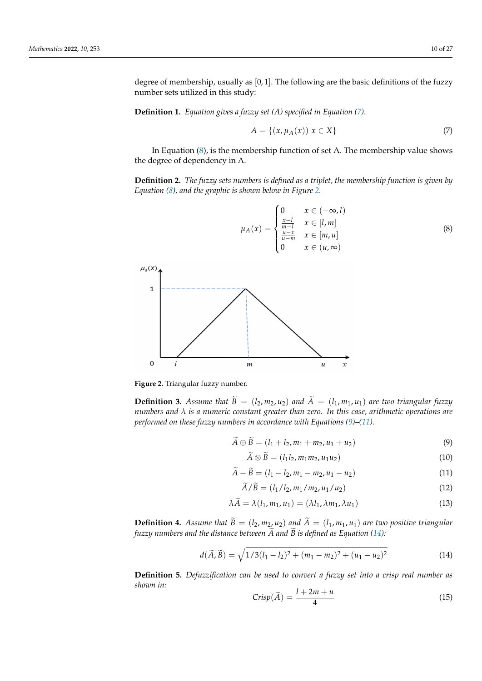degree of membership, usually as [0, 1]. The following are the basic definitions of the fuzzy number sets utilized in this study:

**Definition 1.** *Equation gives a fuzzy set (A) specified in Equation [\(7\)](#page-9-0).*

<span id="page-9-0"></span>
$$
A = \{(x, \mu_A(x)) | x \in X\}
$$
 (7)

In Equation [\(8\)](#page-9-1), is the membership function of set A. The membership value shows the degree of dependency in A.

**Definition 2.** *The fuzzy sets numbers is defined as a triplet, the membership function is given by Equation [\(8\)](#page-9-1), and the graphic is shown below in Figure [2.](#page-9-2)*

<span id="page-9-1"></span>
$$
\mu_A(x) = \begin{cases}\n0 & x \in (-\infty, l) \\
\frac{x-l}{m-l} & x \in [l, m] \\
\frac{u-x}{u-m} & x \in [m, u] \\
0 & x \in (u, \infty)\n\end{cases}
$$
\n(8)

<span id="page-9-2"></span>

**Figure 2.** Triangular fuzzy number.

**Definition 3.** Assume that  $\widetilde{B} = (l_2, m_2, u_2)$  and  $\widetilde{A} = (l_1, m_1, u_1)$  are two triangular fuzzy *numbers and λ is a numeric constant greater than zero. In this case, arithmetic operations are performed on these fuzzy numbers in accordance with Equations [\(9\)](#page-9-3)–[\(11\)](#page-9-4).*

<span id="page-9-3"></span>
$$
\widetilde{A} \oplus \widetilde{B} = (l_1 + l_2, m_1 + m_2, u_1 + u_2) \tag{9}
$$

$$
\widetilde{A} \otimes \widetilde{B} = (l_1 l_2, m_1 m_2, u_1 u_2) \tag{10}
$$

<span id="page-9-4"></span>
$$
\widetilde{A} - \widetilde{B} = (l_1 - l_2, m_1 - m_2, u_1 - u_2) \tag{11}
$$

$$
\widetilde{A}/\widetilde{B} = (l_1/l_2, m_1/m_2, u_1/u_2)
$$
\n(12)

$$
\lambda A = \lambda(l_1, m_1, u_1) = (\lambda l_1, \lambda m_1, \lambda u_1)
$$
\n(13)

**Definition 4.** Assume that  $\widetilde{B} = (l_2, m_2, u_2)$  and  $\widetilde{A} = (l_1, m_1, u_1)$  are two positive triangular *fuzzy numbers and the distance between A and B is defined as Equation* ([14\)](#page-9-5)*:* 

<span id="page-9-5"></span>
$$
d(\widetilde{A}, \widetilde{B}) = \sqrt{1/3(l_1 - l_2)^2 + (m_1 - m_2)^2 + (u_1 - u_2)^2}
$$
 (14)

**Definition 5.** *Defuzzification can be used to convert a fuzzy set into a crisp real number as shown in:*

$$
Crisp(\widetilde{A}) = \frac{l+2m+u}{4}
$$
\n(15)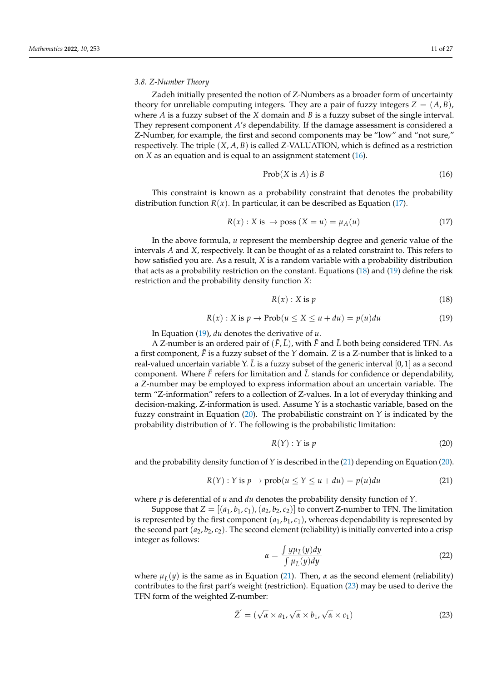#### *3.8. Z-Number Theory*

Zadeh initially presented the notion of Z-Numbers as a broader form of uncertainty theory for unreliable computing integers. They are a pair of fuzzy integers  $Z = (A, B)$ , where *A* is a fuzzy subset of the *X* domain and *B* is a fuzzy subset of the single interval. They represent component *A*'*s* dependability. If the damage assessment is considered a Z-Number, for example, the first and second components may be "low" and "not sure," respectively. The triple (*X*, *A*, *B*) is called Z-VALUATION, which is defined as a restriction on *X* as an equation and is equal to an assignment statement [\(16\)](#page-10-0).

<span id="page-10-0"></span>
$$
Prob(X \text{ is } A) \text{ is } B \tag{16}
$$

This constraint is known as a probability constraint that denotes the probability distribution function  $R(x)$ . In particular, it can be described as Equation [\(17\)](#page-10-1).

<span id="page-10-1"></span>
$$
R(x): X \text{ is } \to \text{poss } (X = u) = \mu_A(u) \tag{17}
$$

In the above formula, *u* represent the membership degree and generic value of the intervals *A* and *X*, respectively. It can be thought of as a related constraint to. This refers to how satisfied you are. As a result, *X* is a random variable with a probability distribution that acts as a probability restriction on the constant. Equations [\(18\)](#page-10-2) and [\(19\)](#page-10-3) define the risk restriction and the probability density function *X*:

<span id="page-10-2"></span>
$$
R(x): X \t{is } p \t(18)
$$

<span id="page-10-3"></span>
$$
R(x): X \text{ is } p \to \text{Prob}(u \le X \le u + du) = p(u)du \tag{19}
$$

In Equation [\(19\)](#page-10-3), *du* denotes the derivative of *u*.

A Z-number is an ordered pair of  $(\tilde{F}, \tilde{L})$ , with  $\tilde{F}$  and  $\tilde{L}$  both being considered TFN. As a first component,  $\bar{F}$  is a fuzzy subset of the  $Y$  domain.  $Z$  is a Z-number that is linked to a real-valued uncertain variable Y.  $\tilde{L}$  is a fuzzy subset of the generic interval [0, 1] as a second component. Where  $\ddot{F}$  refers for limitation and  $\ddot{L}$  stands for confidence or dependability, a Z-number may be employed to express information about an uncertain variable. The term "Z-information" refers to a collection of Z-values. In a lot of everyday thinking and decision-making, Z-information is used. Assume Y is a stochastic variable, based on the fuzzy constraint in Equation [\(20\)](#page-10-4). The probabilistic constraint on *Y* is indicated by the probability distribution of *Y*. The following is the probabilistic limitation:

<span id="page-10-4"></span>
$$
R(Y): Y \text{ is } p \tag{20}
$$

and the probability density function of *Y* is described in the [\(21\)](#page-10-5) depending on Equation [\(20\)](#page-10-4).

<span id="page-10-5"></span>
$$
R(Y) : Y \text{ is } p \to \text{prob}(u \le Y \le u + du) = p(u)du \tag{21}
$$

where *p* is deferential of *u* and *du* denotes the probability density function of *Y*.

Suppose that  $Z = [(a_1, b_1, c_1), (a_2, b_2, c_2)]$  to convert Z-number to TFN. The limitation is represented by the first component  $(a_1, b_1, c_1)$ , whereas dependability is represented by the second part  $(a_2, b_2, c_2)$ . The second element (reliability) is initially converted into a crisp integer as follows:

<span id="page-10-7"></span>
$$
\alpha = \frac{\int y \mu_{\tilde{L}}(y) dy}{\int \mu_{\tilde{L}}(y) dy}
$$
\n(22)

where  $\mu_{\tilde{l}}(\tilde{y})$  is the same as in Equation [\(21\)](#page-10-5). Then,  $\alpha$  as the second element (reliability) contributes to the first part's weight (restriction). Equation [\(23\)](#page-10-6) may be used to derive the TFN form of the weighted Z-number:

<span id="page-10-6"></span>
$$
\tilde{Z}' = (\sqrt{\alpha} \times a_1, \sqrt{\alpha} \times b_1, \sqrt{\alpha} \times c_1)
$$
\n(23)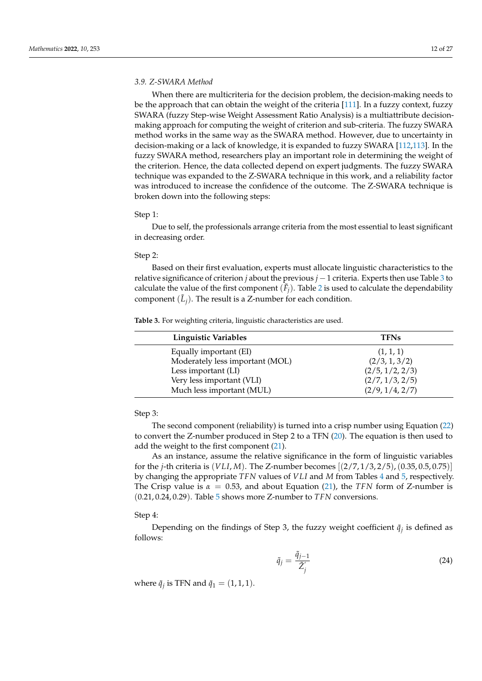## *3.9. Z-SWARA Method*

When there are multicriteria for the decision problem, the decision-making needs to be the approach that can obtain the weight of the criteria [\[111\]](#page-26-13). In a fuzzy context, fuzzy SWARA (fuzzy Step-wise Weight Assessment Ratio Analysis) is a multiattribute decisionmaking approach for computing the weight of criterion and sub-criteria. The fuzzy SWARA method works in the same way as the SWARA method. However, due to uncertainty in decision-making or a lack of knowledge, it is expanded to fuzzy SWARA [\[112](#page-26-14)[,113\]](#page-26-15). In the fuzzy SWARA method, researchers play an important role in determining the weight of the criterion. Hence, the data collected depend on expert judgments. The fuzzy SWARA technique was expanded to the Z-SWARA technique in this work, and a reliability factor was introduced to increase the confidence of the outcome. The Z-SWARA technique is broken down into the following steps:

#### Step 1:

Due to self, the professionals arrange criteria from the most essential to least significant in decreasing order.

#### Step 2:

Based on their first evaluation, experts must allocate linguistic characteristics to the relative significance of criterion *j* about the previous *j* −1 criteria. Experts then use Table [3](#page-11-0) to calculate the value of the first component  $(\tilde{F}_j)$ . Table [2](#page-4-0) is used to calculate the dependability component  $(\tilde{L}_j)$ . The result is a Z-number for each condition.

<span id="page-11-0"></span>**Table 3.** For weighting criteria, linguistic characteristics are used.

| <b>Linguistic Variables</b>     | <b>TFNs</b>     |
|---------------------------------|-----------------|
| Equally important (EI)          | (1, 1, 1)       |
| Moderately less important (MOL) | (2/3, 1, 3/2)   |
| Less important (LI)             | (2/5, 1/2, 2/3) |
| Very less important (VLI)       | (2/7, 1/3, 2/5) |
| Much less important (MUL)       | (2/9, 1/4, 2/7) |

# Step 3:

The second component (reliability) is turned into a crisp number using Equation [\(22\)](#page-10-7) to convert the Z-number produced in Step 2 to a TFN [\(20\)](#page-10-4). The equation is then used to add the weight to the first component [\(21\)](#page-10-5).

As an instance, assume the relative significance in the form of linguistic variables for the *j*-th criteria is (*VLI*, *M*). The Z-number becomes [(2/7, 1/3, 2/5),(0.35, 0.5, 0.75)] by changing the appropriate *TFN* values of *VLI* and *M* from Tables [4](#page-12-0) and [5,](#page-12-1) respectively. The Crisp value is  $\alpha = 0.53$ , and about Equation [\(21\)](#page-10-5), the *TFN* form of Z-number is (0.21, 0.24, 0.29). Table [5](#page-12-1) shows more Z-number to *TFN* conversions.

## Step 4:

Depending on the findings of Step 3, the fuzzy weight coefficient  $\tilde{q}_j$  is defined as follows:

$$
\tilde{q}_j = \frac{\tilde{q}_{j-1}}{\tilde{Z}_j'}\tag{24}
$$

where  $\tilde{q}_j$  is TFN and  $\tilde{q}_1 = (1, 1, 1)$ .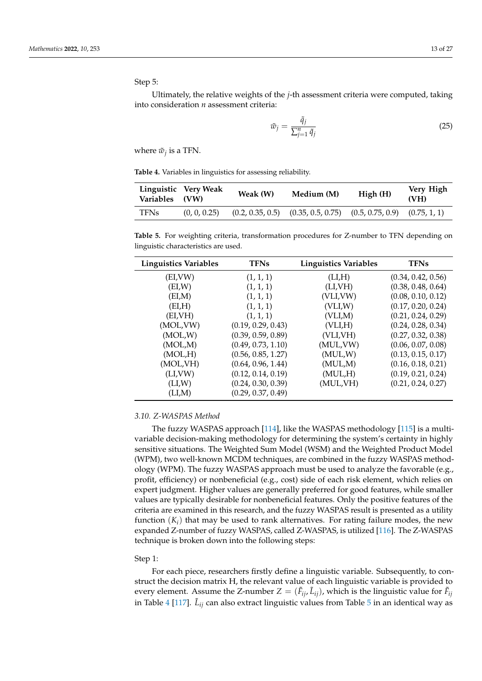Step 5:

Ultimately, the relative weights of the *j*-th assessment criteria were computed, taking into consideration *n* assessment criteria:

$$
\tilde{w}_j = \frac{\tilde{q}_j}{\sum_{j=1}^n \tilde{q}_j} \tag{25}
$$

where  $\tilde{w}_j$  is a TFN.

<span id="page-12-0"></span>**Table 4.** Variables in linguistics for assessing reliability.

| Variables (VW) | Linguistic Very Weak | Weak (W)         | Medium (M)        | High(H)                           | Very High<br>(VH) |
|----------------|----------------------|------------------|-------------------|-----------------------------------|-------------------|
| <b>TFNs</b>    | (0, 0, 0.25)         | (0.2, 0.35, 0.5) | (0.35, 0.5, 0.75) | $(0.5, 0.75, 0.9)$ $(0.75, 1, 1)$ |                   |

<span id="page-12-1"></span>**Table 5.** For weighting criteria, transformation procedures for Z-number to TFN depending on linguistic characteristics are used.

| <b>Linguistics Variables</b> | <b>TFNs</b>        | Linguistics Variables | <b>TFNs</b>        |
|------------------------------|--------------------|-----------------------|--------------------|
| (EI,VW)                      | (1, 1, 1)          | (LI,H)                | (0.34, 0.42, 0.56) |
| (EI,W)                       | (1, 1, 1)          | (LI,VH)               | (0.38, 0.48, 0.64) |
| (EI,M)                       | (1, 1, 1)          | (VLI,VW)              | (0.08, 0.10, 0.12) |
| (EI,H)                       | (1, 1, 1)          | (VLI,W)               | (0.17, 0.20, 0.24) |
| (ELVH)                       | (1, 1, 1)          | (VLI, M)              | (0.21, 0.24, 0.29) |
| (MOL, VW)                    | (0.19, 0.29, 0.43) | (VLI, H)              | (0.24, 0.28, 0.34) |
| (MOL,W)                      | (0.39, 0.59, 0.89) | (VLI,VH)              | (0.27, 0.32, 0.38) |
| (MOL,M)                      | (0.49, 0.73, 1.10) | (MUL,VW)              | (0.06, 0.07, 0.08) |
| (MOL,H)                      | (0.56, 0.85, 1.27) | (MUL,W)               | (0.13, 0.15, 0.17) |
| (MOL,VH)                     | (0.64, 0.96, 1.44) | (MUL,M)               | (0.16, 0.18, 0.21) |
| (LI, VW)                     | (0.12, 0.14, 0.19) | (MUL,H)               | (0.19, 0.21, 0.24) |
| (LI,W)                       | (0.24, 0.30, 0.39) | (MUL, VH)             | (0.21, 0.24, 0.27) |
| (LI,M)                       | (0.29, 0.37, 0.49) |                       |                    |

#### *3.10. Z-WASPAS Method*

The fuzzy WASPAS approach [\[114\]](#page-26-16), like the WASPAS methodology [\[115\]](#page-26-17) is a multivariable decision-making methodology for determining the system's certainty in highly sensitive situations. The Weighted Sum Model (WSM) and the Weighted Product Model (WPM), two well-known MCDM techniques, are combined in the fuzzy WASPAS methodology (WPM). The fuzzy WASPAS approach must be used to analyze the favorable (e.g., profit, efficiency) or nonbeneficial (e.g., cost) side of each risk element, which relies on expert judgment. Higher values are generally preferred for good features, while smaller values are typically desirable for nonbeneficial features. Only the positive features of the criteria are examined in this research, and the fuzzy WASPAS result is presented as a utility function  $(K_i)$  that may be used to rank alternatives. For rating failure modes, the new expanded Z-number of fuzzy WASPAS, called Z-WASPAS, is utilized [\[116\]](#page-26-18). The Z-WASPAS technique is broken down into the following steps:

### Step 1:

For each piece, researchers firstly define a linguistic variable. Subsequently, to construct the decision matrix H, the relevant value of each linguistic variable is provided to every element. Assume the Z-number  $Z = (\tilde{F}_{ij}, \tilde{L}_{ij})$ , which is the linguistic value for  $\tilde{F}_{ij}$ in Table [4](#page-12-0) [\[117\]](#page-26-19).  $\tilde{L}_{ij}$  can also extract linguistic values from Table [5](#page-12-1) in an identical way as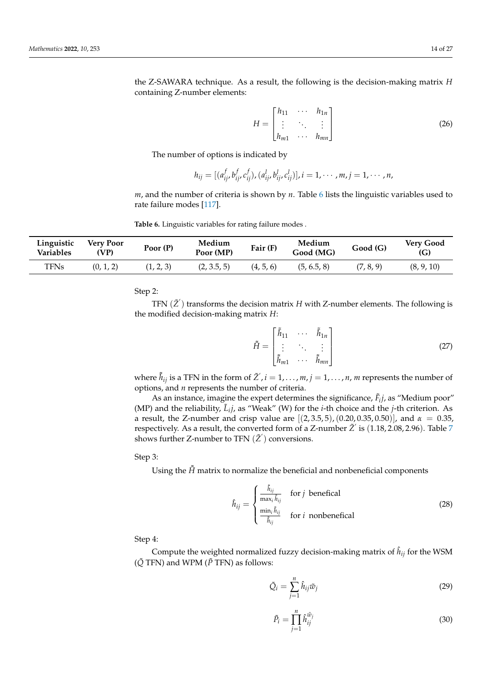the Z-SAWARA technique. As a result, the following is the decision-making matrix *H* containing Z-number elements:

$$
H = \begin{bmatrix} h_{11} & \cdots & h_{1n} \\ \vdots & \ddots & \vdots \\ h_{m1} & \cdots & h_{mn} \end{bmatrix}
$$
 (26)

The number of options is indicated by

$$
h_{ij} = [(a_{ij}^f, b_{ij}^f, c_{ij}^f), (a_{ij}^l, b_{ij}^l, c_{ij}^l)], i = 1, \cdots, m, j = 1, \cdots, n,
$$

*m*, and the number of criteria is shown by *n*. Table [6](#page-13-0) lists the linguistic variables used to rate failure modes [\[117\]](#page-26-19).

<span id="page-13-0"></span>**Table 6.** Linguistic variables for rating failure modes .

| Linguistic<br>Variables | Verv Poor<br>'VP) | Poor $(P)$ | Medium<br>Poor (MP) | Fair (F)  | Medium<br>Good (MG) | Good(G)   | Very Good<br>(G) |
|-------------------------|-------------------|------------|---------------------|-----------|---------------------|-----------|------------------|
| TFNs                    | (0, 1, 2)         | (1, 2, 3)  | (2, 3.5, 5)         | (4, 5, 6) | (5, 6.5, 8)         | (7, 8, 9) | (8, 9, 10)       |

Step 2:

TFN  $(\tilde{Z}')$  transforms the decision matrix *H* with Z-number elements. The following is the modified decision-making matrix *H*:

$$
\tilde{H} = \begin{bmatrix} \tilde{h}_{11} & \cdots & \tilde{h}_{1n} \\ \vdots & \ddots & \vdots \\ \tilde{h}_{m1} & \cdots & \tilde{h}_{mn} \end{bmatrix}
$$
 (27)

where  $\tilde{\bar{h}}_{ij}$  is a TFN in the form of  $\tilde{Z}^{'}, i=1,\ldots,m, j=1,\ldots,n,$  *m* represents the number of options, and *n* represents the number of criteria.

As an instance, imagine the expert determines the significance,  $\tilde{F}_i$ *j*, as "Medium poor" (MP) and the reliability,  $\tilde{L}_i j$ , as "Weak" (W) for the *i*-th choice and the *j*-th criterion. As a result, the Z-number and crisp value are [(2, 3.5, 5),(0.20, 0.35, 0.50)], and *α* = 0.35, respectively. As a result*,* the converted form of a Z-number  $\tilde{Z}^{'}$  is  $(1.18, 2.08, 2.96)$ . Table [7](#page-14-0) shows further Z-number to TFN  $(\tilde Z')$  conversions.

Step 3:

Using the  $\bar{H}$  matrix to normalize the beneficial and nonbeneficial components

$$
\hat{h}_{ij} = \begin{cases}\n\frac{\tilde{h}_{ij}}{\max_i \tilde{h}_{ij}} & \text{for } j \text{ beneficial} \\
\frac{\min_i \tilde{h}_{ij}}{\tilde{h}_{ij}} & \text{for } i \text{ nonbenefical}\n\end{cases}
$$
\n(28)

Step 4:

Compute the weighted normalized fuzzy decision-making matrix of  $\hat{h}_{ij}$  for the WSM  $(\tilde{Q}$  TFN) and WPM ( $\tilde{P}$  TFN) as follows:

$$
\tilde{Q}_i = \sum_{j=1}^n \hat{h}_{ij} \tilde{w}_j \tag{29}
$$

$$
\tilde{P}_i = \prod_{j=1}^n \hat{h}_{ij}^{\tilde{w}_j} \tag{30}
$$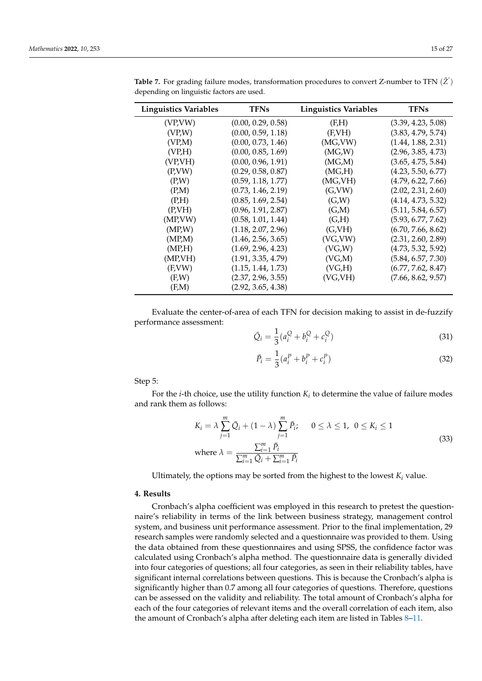| <b>Linguistics Variables</b> | <b>TFNs</b>        | <b>Linguistics Variables</b> | <b>TFNs</b>        |
|------------------------------|--------------------|------------------------------|--------------------|
| (VP,VW)                      | (0.00, 0.29, 0.58) | (F,H)                        | (3.39, 4.23, 5.08) |
| (VPM)                        | (0.00, 0.59, 1.18) | (F,VH)                       | (3.83, 4.79, 5.74) |
| (VPM)                        | (0.00, 0.73, 1.46) | (MG, VW)                     | (1.44, 1.88, 2.31) |
| (VP,H)                       | (0.00, 0.85, 1.69) | (MG,W)                       | (2.96, 3.85, 4.73) |
| (VP,VH)                      | (0.00, 0.96, 1.91) | (MG,M)                       | (3.65, 4.75, 5.84) |
| (P, VW)                      | (0.29, 0.58, 0.87) | (MG,H)                       | (4.23, 5.50, 6.77) |
| (P,W)                        | (0.59, 1.18, 1.77) | (MG,VH)                      | (4.79, 6.22, 7.66) |
| (P,M)                        | (0.73, 1.46, 2.19) | (G,VW)                       | (2.02, 2.31, 2.60) |
| (P,H)                        | (0.85, 1.69, 2.54) | (G,W)                        | (4.14, 4.73, 5.32) |
| (P.VH)                       | (0.96, 1.91, 2.87) | (G,M)                        | (5.11, 5.84, 6.57) |
| (MP, VW)                     | (0.58, 1.01, 1.44) | (G,H)                        | (5.93, 6.77, 7.62) |
| (MPM)                        | (1.18, 2.07, 2.96) | (G,VH)                       | (6.70, 7.66, 8.62) |
| (MP,M)                       | (1.46, 2.56, 3.65) | (VG, VW)                     | (2.31, 2.60, 2.89) |
| (MP,H)                       | (1.69, 2.96, 4.23) | (VG,W)                       | (4.73, 5.32, 5.92) |
| (MP,VH)                      | (1.91, 3.35, 4.79) | (VG,M)                       | (5.84, 6.57, 7.30) |
| (F, VW)                      | (1.15, 1.44, 1.73) | (VG,H)                       | (6.77, 7.62, 8.47) |
| (F,W)                        | (2.37, 2.96, 3.55) | (VG,VH)                      | (7.66, 8.62, 9.57) |
| (F.M)                        | (2.92, 3.65, 4.38) |                              |                    |

<span id="page-14-0"></span>Table 7. For grading failure modes, transformation procedures to convert Z-number to TFN  $(\tilde{Z}^{'})$ depending on linguistic factors are used.

Evaluate the center-of-area of each TFN for decision making to assist in de-fuzzify performance assessment:

$$
\bar{Q}_i = \frac{1}{3}(a_i^Q + b_i^Q + c_i^Q) \tag{31}
$$

$$
\bar{P}_i = \frac{1}{3}(a_i^P + b_i^P + c_i^P)
$$
\n(32)

Step 5:

For the *i*-th choice, use the utility function  $K_i$  to determine the value of failure modes and rank them as follows:

$$
K_i = \lambda \sum_{j=1}^{m} \bar{Q}_i + (1 - \lambda) \sum_{j=1}^{m} \bar{P}_i; \qquad 0 \le \lambda \le 1, \quad 0 \le K_i \le 1
$$
  
where 
$$
\lambda = \frac{\sum_{i=1}^{m} \bar{P}_i}{\sum_{i=1}^{m} \bar{Q}_i + \sum_{i=1}^{m} \bar{P}_i}
$$
 (33)

Ultimately, the options may be sorted from the highest to the lowest  $K_i$  value.

## **4. Results**

Cronbach's alpha coefficient was employed in this research to pretest the questionnaire's reliability in terms of the link between business strategy, management control system, and business unit performance assessment. Prior to the final implementation, 29 research samples were randomly selected and a questionnaire was provided to them. Using the data obtained from these questionnaires and using SPSS, the confidence factor was calculated using Cronbach's alpha method. The questionnaire data is generally divided into four categories of questions; all four categories, as seen in their reliability tables, have significant internal correlations between questions. This is because the Cronbach's alpha is significantly higher than 0.7 among all four categories of questions. Therefore, questions can be assessed on the validity and reliability. The total amount of Cronbach's alpha for each of the four categories of relevant items and the overall correlation of each item, also the amount of Cronbach's alpha after deleting each item are listed in Tables [8–](#page-15-0)[11.](#page-16-0)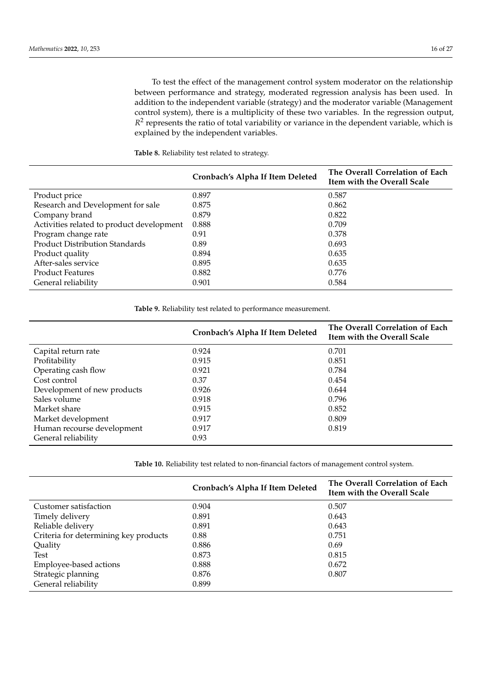To test the effect of the management control system moderator on the relationship between performance and strategy, moderated regression analysis has been used. In addition to the independent variable (strategy) and the moderator variable (Management control system), there is a multiplicity of these two variables. In the regression output, R<sup>2</sup> represents the ratio of total variability or variance in the dependent variable, which is explained by the independent variables.

<span id="page-15-0"></span>**Table 8.** Reliability test related to strategy.

|                                           | Cronbach's Alpha If Item Deleted | The Overall Correlation of Each<br>Item with the Overall Scale |
|-------------------------------------------|----------------------------------|----------------------------------------------------------------|
| Product price                             | 0.897                            | 0.587                                                          |
| Research and Development for sale         | 0.875                            | 0.862                                                          |
| Company brand                             | 0.879                            | 0.822                                                          |
| Activities related to product development | 0.888                            | 0.709                                                          |
| Program change rate                       | 0.91                             | 0.378                                                          |
| <b>Product Distribution Standards</b>     | 0.89                             | 0.693                                                          |
| Product quality                           | 0.894                            | 0.635                                                          |
| After-sales service                       | 0.895                            | 0.635                                                          |
| <b>Product Features</b>                   | 0.882                            | 0.776                                                          |
| General reliability                       | 0.901                            | 0.584                                                          |

**Table 9.** Reliability test related to performance measurement.

|                             | Cronbach's Alpha If Item Deleted | The Overall Correlation of Each<br>Item with the Overall Scale |
|-----------------------------|----------------------------------|----------------------------------------------------------------|
| Capital return rate         | 0.924                            | 0.701                                                          |
| Profitability               | 0.915                            | 0.851                                                          |
| Operating cash flow         | 0.921                            | 0.784                                                          |
| Cost control                | 0.37                             | 0.454                                                          |
| Development of new products | 0.926                            | 0.644                                                          |
| Sales volume                | 0.918                            | 0.796                                                          |
| Market share                | 0.915                            | 0.852                                                          |
| Market development          | 0.917                            | 0.809                                                          |
| Human recourse development  | 0.917                            | 0.819                                                          |
| General reliability         | 0.93                             |                                                                |

<span id="page-15-1"></span>**Table 10.** Reliability test related to non-financial factors of management control system.

|                                       | Cronbach's Alpha If Item Deleted | The Overall Correlation of Each<br>Item with the Overall Scale |
|---------------------------------------|----------------------------------|----------------------------------------------------------------|
| Customer satisfaction                 | 0.904                            | 0.507                                                          |
| Timely delivery                       | 0.891                            | 0.643                                                          |
| Reliable delivery                     | 0.891                            | 0.643                                                          |
| Criteria for determining key products | 0.88                             | 0.751                                                          |
| Quality                               | 0.886                            | 0.69                                                           |
| Test                                  | 0.873                            | 0.815                                                          |
| Employee-based actions                | 0.888                            | 0.672                                                          |
| Strategic planning                    | 0.876                            | 0.807                                                          |
| General reliability                   | 0.899                            |                                                                |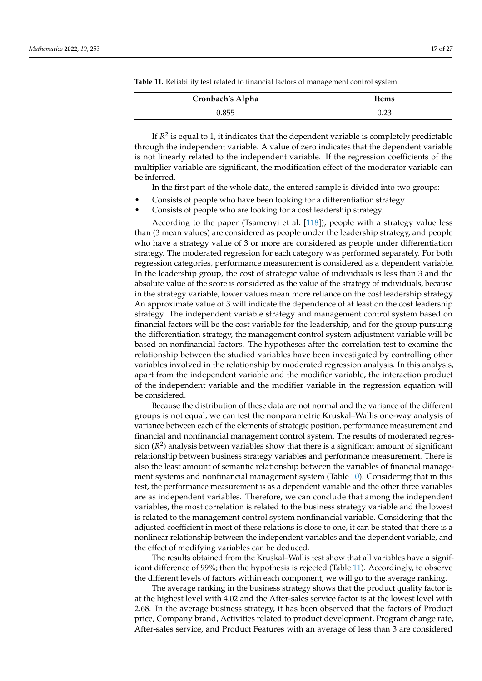| Cronbach's Alpha | Items |
|------------------|-------|
| 0.855            | 0.23  |

<span id="page-16-0"></span>**Table 11.** Reliability test related to financial factors of management control system.

If  $R^2$  is equal to 1, it indicates that the dependent variable is completely predictable through the independent variable. A value of zero indicates that the dependent variable is not linearly related to the independent variable. If the regression coefficients of the multiplier variable are significant, the modification effect of the moderator variable can be inferred.

In the first part of the whole data, the entered sample is divided into two groups:

- Consists of people who have been looking for a differentiation strategy.
- Consists of people who are looking for a cost leadership strategy.

According to the paper (Tsamenyi et al. [\[118\]](#page-26-20)), people with a strategy value less than (3 mean values) are considered as people under the leadership strategy, and people who have a strategy value of 3 or more are considered as people under differentiation strategy. The moderated regression for each category was performed separately. For both regression categories, performance measurement is considered as a dependent variable. In the leadership group, the cost of strategic value of individuals is less than 3 and the absolute value of the score is considered as the value of the strategy of individuals, because in the strategy variable, lower values mean more reliance on the cost leadership strategy. An approximate value of 3 will indicate the dependence of at least on the cost leadership strategy. The independent variable strategy and management control system based on financial factors will be the cost variable for the leadership, and for the group pursuing the differentiation strategy, the management control system adjustment variable will be based on nonfinancial factors. The hypotheses after the correlation test to examine the relationship between the studied variables have been investigated by controlling other variables involved in the relationship by moderated regression analysis. In this analysis, apart from the independent variable and the modifier variable, the interaction product of the independent variable and the modifier variable in the regression equation will be considered.

Because the distribution of these data are not normal and the variance of the different groups is not equal, we can test the nonparametric Kruskal–Wallis one-way analysis of variance between each of the elements of strategic position, performance measurement and financial and nonfinancial management control system. The results of moderated regression (*R* 2 ) analysis between variables show that there is a significant amount of significant relationship between business strategy variables and performance measurement. There is also the least amount of semantic relationship between the variables of financial management systems and nonfinancial management system (Table [10\)](#page-15-1). Considering that in this test, the performance measurement is as a dependent variable and the other three variables are as independent variables. Therefore, we can conclude that among the independent variables, the most correlation is related to the business strategy variable and the lowest is related to the management control system nonfinancial variable. Considering that the adjusted coefficient in most of these relations is close to one, it can be stated that there is a nonlinear relationship between the independent variables and the dependent variable, and the effect of modifying variables can be deduced.

The results obtained from the Kruskal–Wallis test show that all variables have a significant difference of 99%; then the hypothesis is rejected (Table [11\)](#page-16-0). Accordingly, to observe the different levels of factors within each component, we will go to the average ranking.

The average ranking in the business strategy shows that the product quality factor is at the highest level with 4.02 and the After-sales service factor is at the lowest level with 2.68. In the average business strategy, it has been observed that the factors of Product price, Company brand, Activities related to product development, Program change rate, After-sales service, and Product Features with an average of less than 3 are considered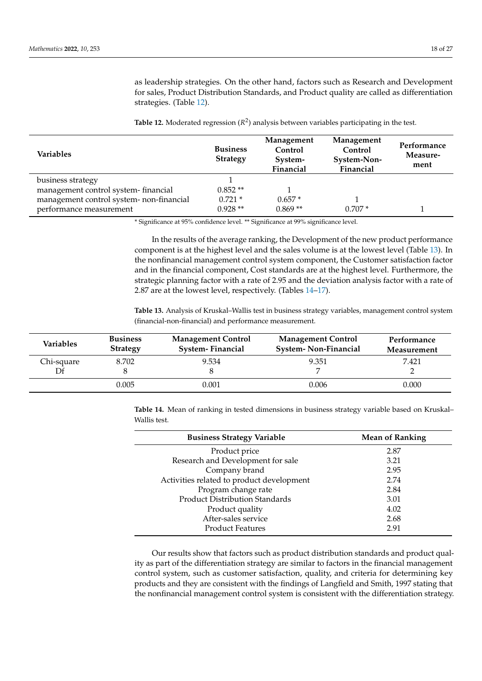as leadership strategies. On the other hand, factors such as Research and Development for sales, Product Distribution Standards, and Product quality are called as differentiation strategies. (Table [12\)](#page-17-0).

<span id="page-17-0"></span>**Table 12.** Moderated regression (*R* 2 ) analysis between variables participating in the test.

| Variables                                | <b>Business</b><br><b>Strategy</b> | Management<br>Control<br>System-<br>Financial | Management<br>Control<br>System-Non-<br>Financial | Performance<br>Measure-<br>ment |
|------------------------------------------|------------------------------------|-----------------------------------------------|---------------------------------------------------|---------------------------------|
| business strategy                        |                                    |                                               |                                                   |                                 |
| management control system-financial      | $0.852**$                          |                                               |                                                   |                                 |
| management control system- non-financial | $0.721*$                           | $0.657*$                                      |                                                   |                                 |
| performance measurement                  | $0.928**$                          | $0.869**$                                     | $0.707*$                                          |                                 |

\* Significance at 95% confidence level. \*\* Significance at 99% significance level.

In the results of the average ranking, the Development of the new product performance component is at the highest level and the sales volume is at the lowest level (Table [13\)](#page-17-1). In the nonfinancial management control system component, the Customer satisfaction factor and in the financial component, Cost standards are at the highest level. Furthermore, the strategic planning factor with a rate of 2.95 and the deviation analysis factor with a rate of 2.87 are at the lowest level, respectively. (Tables [14](#page-17-2)[–17\)](#page-18-0).

<span id="page-17-1"></span>**Table 13.** Analysis of Kruskal–Wallis test in business strategy variables, management control system (financial-non-financial) and performance measurement.

| Variables                          | <b>Business</b><br><b>Strategy</b> | <b>Management Control</b><br><b>System-Financial</b> | <b>Management Control</b><br><b>System-Non-Financial</b> | Performance<br>Measurement |  |
|------------------------------------|------------------------------------|------------------------------------------------------|----------------------------------------------------------|----------------------------|--|
| 9.534<br>8.702<br>Chi-square<br>Df |                                    |                                                      | 9.351                                                    | 7.421                      |  |
|                                    | 0.005                              | 0.001                                                | 0.006                                                    | 0.000                      |  |

<span id="page-17-2"></span>**Table 14.** Mean of ranking in tested dimensions in business strategy variable based on Kruskal– Wallis test.

| <b>Business Strategy Variable</b>         | <b>Mean of Ranking</b> |
|-------------------------------------------|------------------------|
| Product price                             | 2.87                   |
| Research and Development for sale         | 3.21                   |
| Company brand                             | 2.95                   |
| Activities related to product development | 2.74                   |
| Program change rate                       | 2.84                   |
| <b>Product Distribution Standards</b>     | 3.01                   |
| Product quality                           | 4.02                   |
| After-sales service                       | 2.68                   |
| <b>Product Features</b>                   | 2.91                   |

Our results show that factors such as product distribution standards and product quality as part of the differentiation strategy are similar to factors in the financial management control system, such as customer satisfaction, quality, and criteria for determining key products and they are consistent with the findings of Langfield and Smith, 1997 stating that the nonfinancial management control system is consistent with the differentiation strategy.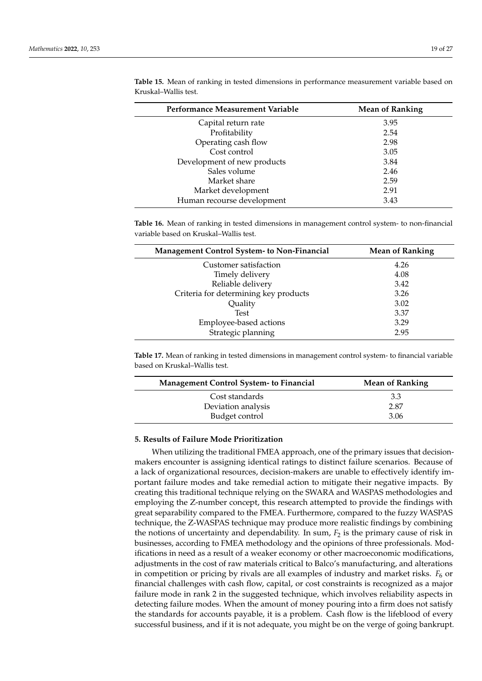| Performance Measurement Variable | <b>Mean of Ranking</b> |  |  |
|----------------------------------|------------------------|--|--|
| Capital return rate              | 3.95                   |  |  |
| Profitability                    | 2.54                   |  |  |
| Operating cash flow              | 2.98                   |  |  |
| Cost control                     | 3.05                   |  |  |
| Development of new products      | 3.84                   |  |  |
| Sales volume                     | 2.46                   |  |  |
| Market share                     | 2.59                   |  |  |
| Market development               | 2.91                   |  |  |
| Human recourse development       | 3.43                   |  |  |

**Table 15.** Mean of ranking in tested dimensions in performance measurement variable based on Kruskal–Wallis test.

**Table 16.** Mean of ranking in tested dimensions in management control system- to non-financial variable based on Kruskal–Wallis test.

| <b>Management Control System- to Non-Financial</b> | <b>Mean of Ranking</b> |
|----------------------------------------------------|------------------------|
| Customer satisfaction                              | 4.26                   |
| Timely delivery                                    | 4.08                   |
| Reliable delivery                                  | 3.42                   |
| Criteria for determining key products              | 3.26                   |
| Quality                                            | 3.02                   |
| <b>Test</b>                                        | 3.37                   |
| Employee-based actions                             | 3.29                   |
| Strategic planning                                 | 2.95                   |

<span id="page-18-0"></span>**Table 17.** Mean of ranking in tested dimensions in management control system- to financial variable based on Kruskal–Wallis test.

| <b>Management Control System- to Financial</b> | <b>Mean of Ranking</b> |  |  |
|------------------------------------------------|------------------------|--|--|
| Cost standards                                 | 3.3                    |  |  |
| Deviation analysis                             | 2.87                   |  |  |
| Budget control                                 | 3.06                   |  |  |

## **5. Results of Failure Mode Prioritization**

When utilizing the traditional FMEA approach, one of the primary issues that decisionmakers encounter is assigning identical ratings to distinct failure scenarios. Because of a lack of organizational resources, decision-makers are unable to effectively identify important failure modes and take remedial action to mitigate their negative impacts. By creating this traditional technique relying on the SWARA and WASPAS methodologies and employing the Z-number concept, this research attempted to provide the findings with great separability compared to the FMEA. Furthermore, compared to the fuzzy WASPAS technique, the Z-WASPAS technique may produce more realistic findings by combining the notions of uncertainty and dependability. In sum,  $F<sub>2</sub>$  is the primary cause of risk in businesses, according to FMEA methodology and the opinions of three professionals. Modifications in need as a result of a weaker economy or other macroeconomic modifications, adjustments in the cost of raw materials critical to Balco's manufacturing, and alterations in competition or pricing by rivals are all examples of industry and market risks.  $F_6$  or financial challenges with cash flow, capital, or cost constraints is recognized as a major failure mode in rank 2 in the suggested technique, which involves reliability aspects in detecting failure modes. When the amount of money pouring into a firm does not satisfy the standards for accounts payable, it is a problem. Cash flow is the lifeblood of every successful business, and if it is not adequate, you might be on the verge of going bankrupt.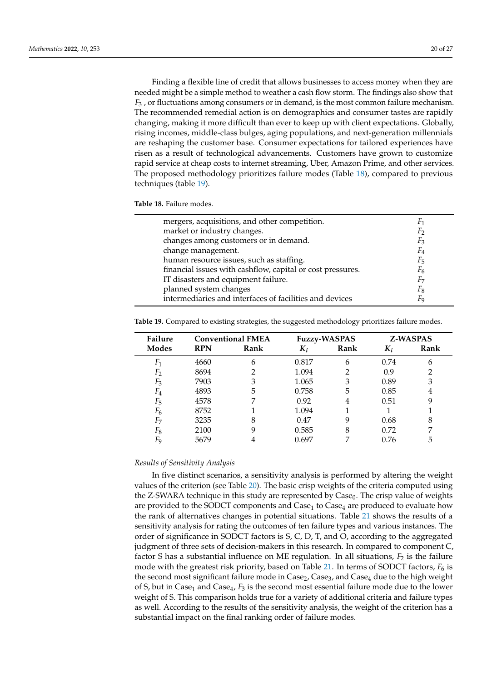Finding a flexible line of credit that allows businesses to access money when they are needed might be a simple method to weather a cash flow storm. The findings also show that *F*<sup>3</sup> , or fluctuations among consumers or in demand, is the most common failure mechanism. The recommended remedial action is on demographics and consumer tastes are rapidly changing, making it more difficult than ever to keep up with client expectations. Globally, rising incomes, middle-class bulges, aging populations, and next-generation millennials are reshaping the customer base. Consumer expectations for tailored experiences have risen as a result of technological advancements. Customers have grown to customize rapid service at cheap costs to internet streaming, Uber, Amazon Prime, and other services. The proposed methodology prioritizes failure modes (Table [18\)](#page-19-0), compared to previous techniques (table [19\)](#page-19-1).

<span id="page-19-0"></span>**Table 18.** Failure modes.

| mergers, acquisitions, and other competition.              |                |
|------------------------------------------------------------|----------------|
| market or industry changes.                                | F              |
| changes among customers or in demand.                      | $F_3$          |
| change management.                                         | $F_4$          |
| human resource issues, such as staffing.                   | F <sub>5</sub> |
| financial issues with cashflow, capital or cost pressures. | F <sub>6</sub> |
| IT disasters and equipment failure.                        | F7             |
| planned system changes                                     | Fg             |
| intermediaries and interfaces of facilities and devices    | ٣a             |
|                                                            |                |

| Failure        | <b>Conventional FMEA</b> |      |       | <b>Fuzzy-WASPAS</b> | <b>Z-WASPAS</b> |      |
|----------------|--------------------------|------|-------|---------------------|-----------------|------|
| <b>Modes</b>   | <b>RPN</b>               | Rank | $K_i$ | Rank                | $K_i$           | Rank |
| $F_1$          | 4660                     | 6    | 0.817 | 6                   | 0.74            | 6    |
| $F_2$          | 8694                     | 2    | 1.094 | 2                   | 0.9             | 2    |
| $F_3$          | 7903                     | 3    | 1.065 | 3                   | 0.89            | 3    |
| $F_4$          | 4893                     | 5    | 0.758 | 5                   | 0.85            | 4    |
| $F_5$          | 4578                     | 7    | 0.92  | 4                   | 0.51            | 9    |
| $F_6$          | 8752                     |      | 1.094 |                     |                 |      |
| F <sub>7</sub> | 3235                     | 8    | 0.47  | 9                   | 0.68            | 8    |
| $F_8$          | 2100                     | 9    | 0.585 | 8                   | 0.72            | 7    |
| F <sub>9</sub> | 5679                     | 4    | 0.697 | 7                   | 0.76            | 5    |

<span id="page-19-1"></span>**Table 19.** Compared to existing strategies, the suggested methodology prioritizes failure modes.

#### *Results of Sensitivity Analysis*

In five distinct scenarios, a sensitivity analysis is performed by altering the weight values of the criterion (see Table [20\)](#page-20-0). The basic crisp weights of the criteria computed using the Z-SWARA technique in this study are represented by  $\text{Case}_0$ . The crisp value of weights are provided to the SODCT components and  $\text{Case}_1$  to  $\text{Case}_4$  are produced to evaluate how the rank of alternatives changes in potential situations. Table [21](#page-20-1) shows the results of a sensitivity analysis for rating the outcomes of ten failure types and various instances. The order of significance in SODCT factors is S, C, D, T, and O, according to the aggregated judgment of three sets of decision-makers in this research. In compared to component C, factor S has a substantial influence on ME regulation. In all situations,  $F_2$  is the failure mode with the greatest risk priority, based on Table [21.](#page-20-1) In terms of SODCT factors,  $F_6$  is the second most significant failure mode in  $Case<sub>2</sub>$ ,  $Case<sub>3</sub>$ , and  $Case<sub>4</sub>$  due to the high weight of S, but in Case<sub>1</sub> and Case<sub>4</sub>,  $F_3$  is the second most essential failure mode due to the lower weight of S. This comparison holds true for a variety of additional criteria and failure types as well. According to the results of the sensitivity analysis, the weight of the criterion has a substantial impact on the final ranking order of failure modes.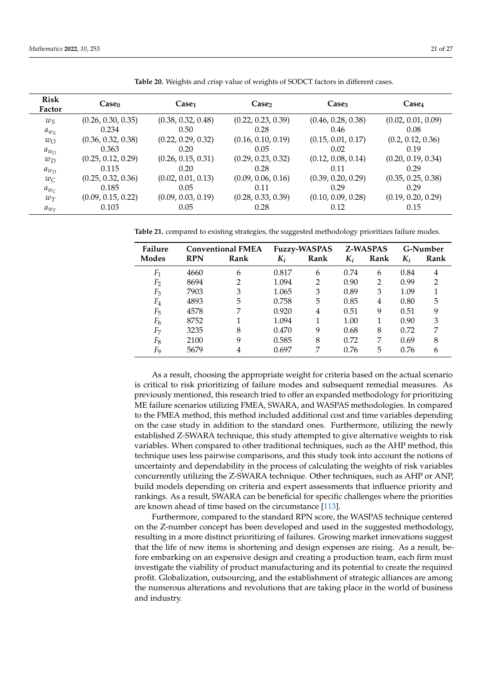| <b>Risk</b><br>Factor | Case <sub>0</sub>  | Case <sub>1</sub>  | Case <sub>2</sub>  | Case <sub>3</sub>  | Case <sub>4</sub>  |
|-----------------------|--------------------|--------------------|--------------------|--------------------|--------------------|
| $w_S$                 | (0.26, 0.30, 0.35) | (0.38, 0.32, 0.48) | (0.22, 0.23, 0.39) | (0.46, 0.28, 0.38) | (0.02, 0.01, 0.09) |
| $a_{w_S}$             | 0.234              | 0.50               | 0.28               | 0.46               | 0.08               |
| $w_{\Omega}$          | (0.36, 0.32, 0.38) | (0.22, 0.29, 0.32) | (0.16, 0.10, 0.19) | (0.15, 0.01, 0.17) | (0.2, 0.12, 0.36)  |
| $a_{w_O}$             | 0.363              | 0.20               | 0.05               | 0.02               | 0.19               |
| $w_D$                 | (0.25, 0.12, 0.29) | (0.26, 0.15, 0.31) | (0.29, 0.23, 0.32) | (0.12, 0.08, 0.14) | (0.20, 0.19, 0.34) |
| $a_{w_D}$             | 0.115              | 0.20               | 0.28               | 0.11               | 0.29               |
| $w_C$                 | (0.25, 0.32, 0.36) | (0.02, 0.01, 0.13) | (0.09, 0.06, 0.16) | (0.39, 0.20, 0.29) | (0.35, 0.25, 0.38) |
| $a_{w_C}$             | 0.185              | 0.05               | 0.11               | 0.29               | 0.29               |
| $w_T$                 | (0.09, 0.15, 0.22) | (0.09, 0.03, 0.19) | (0.28, 0.33, 0.39) | (0.10, 0.09, 0.28) | (0.19, 0.20, 0.29) |
| $a_{w_{T}}$           | 0.103              | 0.05               | 0.28               | 0.12               | 0.15               |

<span id="page-20-0"></span>**Table 20.** Weights and crisp value of weights of SODCT factors in different cases.

<span id="page-20-1"></span>**Table 21.** compared to existing strategies, the suggested methodology prioritizes failure modes.

| Failure        | <b>Conventional FMEA</b> |      | <b>Fuzzy-WASPAS</b> |      | <b>Z-WASPAS</b> |               | G-Number |      |
|----------------|--------------------------|------|---------------------|------|-----------------|---------------|----------|------|
| Modes          | <b>RPN</b>               | Rank | $K_i$               | Rank | $K_i$           | Rank          | $K_i$    | Rank |
| $F_1$          | 4660                     | 6    | 0.817               | 6    | 0.74            | 6             | 0.84     | 4    |
| F <sub>2</sub> | 8694                     | 2    | 1.094               | 2    | 0.90            | $\mathcal{P}$ | 0.99     | 2    |
| $F_3$          | 7903                     | 3    | 1.065               | 3    | 0.89            | 3             | 1.09     |      |
| $F_4$          | 4893                     | 5    | 0.758               | 5    | 0.85            | 4             | 0.80     | 5    |
| $F_5$          | 4578                     | 7    | 0.920               | 4    | 0.51            | 9             | 0.51     | 9    |
| $F_6$          | 8752                     |      | 1.094               |      | 1.00            |               | 0.90     | 3    |
| F <sub>7</sub> | 3235                     | 8    | 0.470               | 9    | 0.68            | 8             | 0.72     | 7    |
| $F_8$          | 2100                     | 9    | 0.585               | 8    | 0.72            | 7             | 0.69     | 8    |
| Fq             | 5679                     | 4    | 0.697               | 7    | 0.76            | 5             | 0.76     | h    |

As a result, choosing the appropriate weight for criteria based on the actual scenario is critical to risk prioritizing of failure modes and subsequent remedial measures. As previously mentioned, this research tried to offer an expanded methodology for prioritizing ME failure scenarios utilizing FMEA, SWARA, and WASPAS methodologies. In compared to the FMEA method, this method included additional cost and time variables depending on the case study in addition to the standard ones. Furthermore, utilizing the newly established Z-SWARA technique, this study attempted to give alternative weights to risk variables. When compared to other traditional techniques, such as the AHP method, this technique uses less pairwise comparisons, and this study took into account the notions of uncertainty and dependability in the process of calculating the weights of risk variables concurrently utilizing the Z-SWARA technique. Other techniques, such as AHP or ANP, build models depending on criteria and expert assessments that influence priority and rankings. As a result, SWARA can be beneficial for specific challenges where the priorities are known ahead of time based on the circumstance [\[113\]](#page-26-15).

Furthermore, compared to the standard RPN score, the WASPAS technique centered on the Z-number concept has been developed and used in the suggested methodology, resulting in a more distinct prioritizing of failures. Growing market innovations suggest that the life of new items is shortening and design expenses are rising. As a result, before embarking on an expensive design and creating a production team, each firm must investigate the viability of product manufacturing and its potential to create the required profit. Globalization, outsourcing, and the establishment of strategic alliances are among the numerous alterations and revolutions that are taking place in the world of business and industry.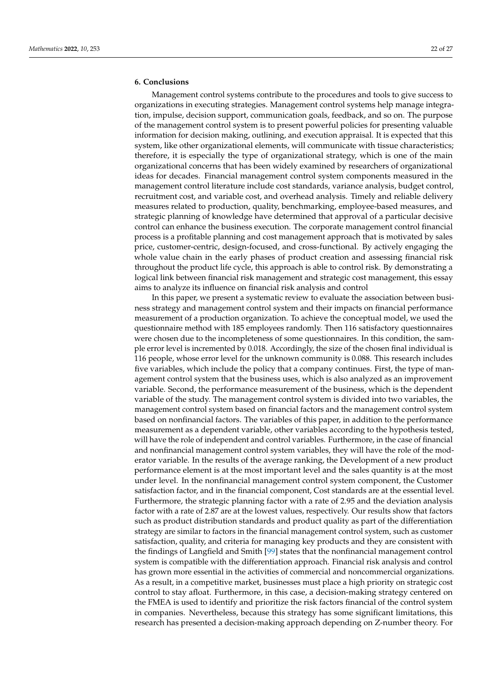# **6. Conclusions**

Management control systems contribute to the procedures and tools to give success to organizations in executing strategies. Management control systems help manage integration, impulse, decision support, communication goals, feedback, and so on. The purpose of the management control system is to present powerful policies for presenting valuable information for decision making, outlining, and execution appraisal. It is expected that this system, like other organizational elements, will communicate with tissue characteristics; therefore, it is especially the type of organizational strategy, which is one of the main organizational concerns that has been widely examined by researchers of organizational ideas for decades. Financial management control system components measured in the management control literature include cost standards, variance analysis, budget control, recruitment cost, and variable cost, and overhead analysis. Timely and reliable delivery measures related to production, quality, benchmarking, employee-based measures, and strategic planning of knowledge have determined that approval of a particular decisive control can enhance the business execution. The corporate management control financial process is a profitable planning and cost management approach that is motivated by sales price, customer-centric, design-focused, and cross-functional. By actively engaging the whole value chain in the early phases of product creation and assessing financial risk throughout the product life cycle, this approach is able to control risk. By demonstrating a logical link between financial risk management and strategic cost management, this essay aims to analyze its influence on financial risk analysis and control

In this paper, we present a systematic review to evaluate the association between business strategy and management control system and their impacts on financial performance measurement of a production organization. To achieve the conceptual model, we used the questionnaire method with 185 employees randomly. Then 116 satisfactory questionnaires were chosen due to the incompleteness of some questionnaires. In this condition, the sample error level is incremented by 0.018. Accordingly, the size of the chosen final individual is 116 people, whose error level for the unknown community is 0.088. This research includes five variables, which include the policy that a company continues. First, the type of management control system that the business uses, which is also analyzed as an improvement variable. Second, the performance measurement of the business, which is the dependent variable of the study. The management control system is divided into two variables, the management control system based on financial factors and the management control system based on nonfinancial factors. The variables of this paper, in addition to the performance measurement as a dependent variable, other variables according to the hypothesis tested, will have the role of independent and control variables. Furthermore, in the case of financial and nonfinancial management control system variables, they will have the role of the moderator variable. In the results of the average ranking, the Development of a new product performance element is at the most important level and the sales quantity is at the most under level. In the nonfinancial management control system component, the Customer satisfaction factor, and in the financial component, Cost standards are at the essential level. Furthermore, the strategic planning factor with a rate of 2.95 and the deviation analysis factor with a rate of 2.87 are at the lowest values, respectively. Our results show that factors such as product distribution standards and product quality as part of the differentiation strategy are similar to factors in the financial management control system, such as customer satisfaction, quality, and criteria for managing key products and they are consistent with the findings of Langfield and Smith [\[99\]](#page-26-2) states that the nonfinancial management control system is compatible with the differentiation approach. Financial risk analysis and control has grown more essential in the activities of commercial and noncommercial organizations. As a result, in a competitive market, businesses must place a high priority on strategic cost control to stay afloat. Furthermore, in this case, a decision-making strategy centered on the FMEA is used to identify and prioritize the risk factors financial of the control system in companies. Nevertheless, because this strategy has some significant limitations, this research has presented a decision-making approach depending on Z-number theory. For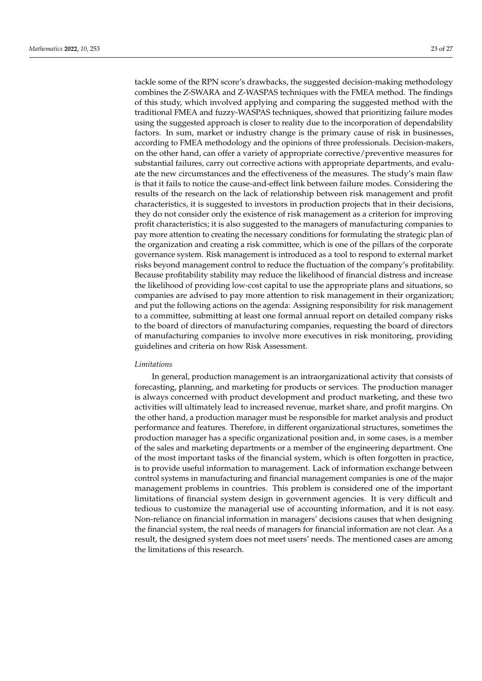tackle some of the RPN score's drawbacks, the suggested decision-making methodology combines the Z-SWARA and Z-WASPAS techniques with the FMEA method. The findings of this study, which involved applying and comparing the suggested method with the traditional FMEA and fuzzy-WASPAS techniques, showed that prioritizing failure modes using the suggested approach is closer to reality due to the incorporation of dependability factors. In sum, market or industry change is the primary cause of risk in businesses, according to FMEA methodology and the opinions of three professionals. Decision-makers, on the other hand, can offer a variety of appropriate corrective/preventive measures for substantial failures, carry out corrective actions with appropriate departments, and evaluate the new circumstances and the effectiveness of the measures. The study's main flaw is that it fails to notice the cause-and-effect link between failure modes. Considering the results of the research on the lack of relationship between risk management and profit characteristics, it is suggested to investors in production projects that in their decisions, they do not consider only the existence of risk management as a criterion for improving profit characteristics; it is also suggested to the managers of manufacturing companies to pay more attention to creating the necessary conditions for formulating the strategic plan of the organization and creating a risk committee, which is one of the pillars of the corporate governance system. Risk management is introduced as a tool to respond to external market risks beyond management control to reduce the fluctuation of the company's profitability. Because profitability stability may reduce the likelihood of financial distress and increase the likelihood of providing low-cost capital to use the appropriate plans and situations, so companies are advised to pay more attention to risk management in their organization; and put the following actions on the agenda: Assigning responsibility for risk management to a committee, submitting at least one formal annual report on detailed company risks to the board of directors of manufacturing companies, requesting the board of directors of manufacturing companies to involve more executives in risk monitoring, providing guidelines and criteria on how Risk Assessment.

#### *Limitations*

In general, production management is an intraorganizational activity that consists of forecasting, planning, and marketing for products or services. The production manager is always concerned with product development and product marketing, and these two activities will ultimately lead to increased revenue, market share, and profit margins. On the other hand, a production manager must be responsible for market analysis and product performance and features. Therefore, in different organizational structures, sometimes the production manager has a specific organizational position and, in some cases, is a member of the sales and marketing departments or a member of the engineering department. One of the most important tasks of the financial system, which is often forgotten in practice, is to provide useful information to management. Lack of information exchange between control systems in manufacturing and financial management companies is one of the major management problems in countries. This problem is considered one of the important limitations of financial system design in government agencies. It is very difficult and tedious to customize the managerial use of accounting information, and it is not easy. Non-reliance on financial information in managers' decisions causes that when designing the financial system, the real needs of managers for financial information are not clear. As a result, the designed system does not meet users' needs. The mentioned cases are among the limitations of this research.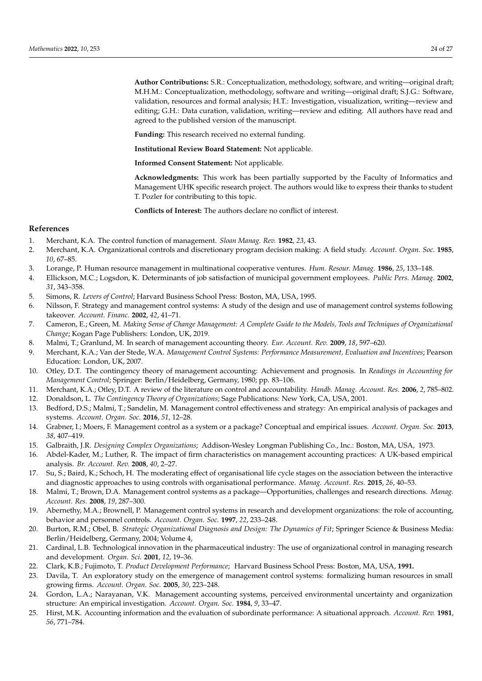**Author Contributions:** S.R.: Conceptualization, methodology, software, and writing—original draft; M.H.M.: Conceptualization, methodology, software and writing—original draft; S.J.G.: Software, validation, resources and formal analysis; H.T.: Investigation, visualization, writing—review and editing; G.H.: Data curation, validation, writing—review and editing. All authors have read and agreed to the published version of the manuscript.

**Funding:** This research received no external funding.

**Institutional Review Board Statement:** Not applicable.

**Informed Consent Statement:** Not applicable.

**Acknowledgments:** This work has been partially supported by the Faculty of Informatics and Management UHK specific research project. The authors would like to express their thanks to student T. Pozler for contributing to this topic.

**Conflicts of Interest:** The authors declare no conflict of interest.

## **References**

- <span id="page-23-0"></span>1. Merchant, K.A. The control function of management. *Sloan Manag. Rev.* **1982**, *23*, 43.
- <span id="page-23-13"></span>2. Merchant, K.A. Organizational controls and discretionary program decision making: A field study. *Account. Organ. Soc.* **1985**, *10*, 67–85.
- <span id="page-23-1"></span>3. Lorange, P. Human resource management in multinational cooperative ventures. *Hum. Resour. Manag.* **1986**, *25*, 133–148.
- <span id="page-23-2"></span>4. Ellickson, M.C.; Logsdon, K. Determinants of job satisfaction of municipal government employees. *Public Pers. Manag.* **2002**, *31*, 343–358.
- <span id="page-23-3"></span>5. Simons, R. *Levers of Control*; Harvard Business School Press: Boston, MA, USA, 1995.
- 6. Nilsson, F. Strategy and management control systems: A study of the design and use of management control systems following takeover. *Account. Financ.* **2002**, *42*, 41–71.
- 7. Cameron, E.; Green, M. *Making Sense of Change Management: A Complete Guide to the Models, Tools and Techniques of Organizational Change*; Kogan Page Publishers: London, UK, 2019.
- 8. Malmi, T.; Granlund, M. In search of management accounting theory. *Eur. Account. Rev.* **2009**, *18*, 597–620.
- <span id="page-23-11"></span>9. Merchant, K.A.; Van der Stede, W.A. *Management Control Systems: Performance Measurement, Evaluation and Incentives*; Pearson Education: London, UK, 2007.
- <span id="page-23-4"></span>10. Otley, D.T. The contingency theory of management accounting: Achievement and prognosis. In *Readings in Accounting for Management Control*; Springer: Berlin/Heidelberg, Germany, 1980; pp. 83–106.
- <span id="page-23-5"></span>11. Merchant, K.A.; Otley, D.T. A review of the literature on control and accountability. *Handb. Manag. Account. Res.* **2006**, *2*, 785–802.
- <span id="page-23-6"></span>12. Donaldson, L. *The Contingency Theory of Organizations*; Sage Publications: New York, CA, USA, 2001.
- <span id="page-23-7"></span>13. Bedford, D.S.; Malmi, T.; Sandelin, M. Management control effectiveness and strategy: An empirical analysis of packages and systems. *Account. Organ. Soc.* **2016**, *51*, 12–28.
- <span id="page-23-8"></span>14. Grabner, I.; Moers, F. Management control as a system or a package? Conceptual and empirical issues. *Account. Organ. Soc.* **2013**, *38*, 407–419.
- <span id="page-23-9"></span>15. Galbraith, J.R. *Designing Complex Organizations*; Addison-Wesley Longman Publishing Co., Inc.: Boston, MA, USA, 1973.
- 16. Abdel-Kader, M.; Luther, R. The impact of firm characteristics on management accounting practices: A UK-based empirical analysis. *Br. Account. Rev.* **2008**, *40*, 2–27.
- <span id="page-23-10"></span>17. Su, S.; Baird, K.; Schoch, H. The moderating effect of organisational life cycle stages on the association between the interactive and diagnostic approaches to using controls with organisational performance. *Manag. Account. Res.* **2015**, *26*, 40–53.
- <span id="page-23-12"></span>18. Malmi, T.; Brown, D.A. Management control systems as a package—Opportunities, challenges and research directions. *Manag. Account. Res.* **2008**, *19*, 287–300.
- <span id="page-23-14"></span>19. Abernethy, M.A.; Brownell, P. Management control systems in research and development organizations: the role of accounting, behavior and personnel controls. *Account. Organ. Soc.* **1997**, *22*, 233–248.
- <span id="page-23-15"></span>20. Burton, R.M.; Obel, B. *Strategic Organizational Diagnosis and Design: The Dynamics of Fit*; Springer Science & Business Media: Berlin/Heidelberg, Germany, 2004; Volume 4,
- <span id="page-23-16"></span>21. Cardinal, L.B. Technological innovation in the pharmaceutical industry: The use of organizational control in managing research and development. *Organ. Sci.* **2001**, *12*, 19–36.
- <span id="page-23-18"></span><span id="page-23-17"></span>22. Clark, K.B.; Fujimoto, T. *Product Development Performance*; Harvard Business School Press: Boston, MA, USA, **1991.**
- 23. Davila, T. An exploratory study on the emergence of management control systems: formalizing human resources in small growing firms. *Account. Organ. Soc.* **2005**, *30*, 223–248.
- <span id="page-23-19"></span>24. Gordon, L.A.; Narayanan, V.K. Management accounting systems, perceived environmental uncertainty and organization structure: An empirical investigation. *Account. Organ. Soc.* **1984**, *9*, 33–47.
- <span id="page-23-20"></span>25. Hirst, M.K. Accounting information and the evaluation of subordinate performance: A situational approach. *Account. Rev.* **1981**, *56*, 771–784.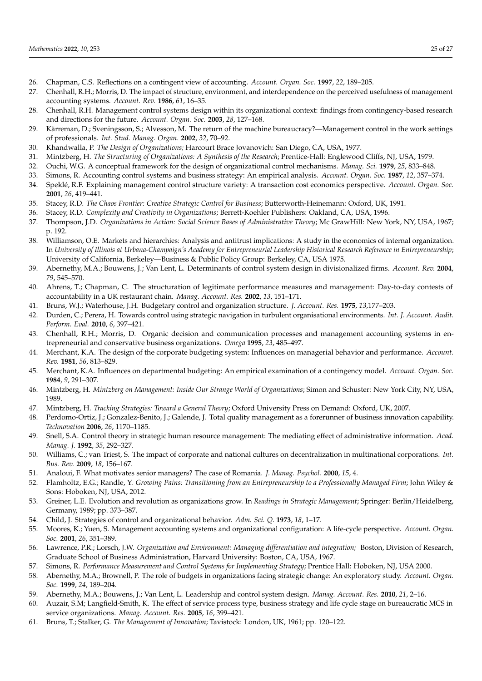- <span id="page-24-0"></span>26. Chapman, C.S. Reflections on a contingent view of accounting. *Account. Organ. Soc.* **1997**, *22*, 189–205.
- <span id="page-24-1"></span>27. Chenhall, R.H.; Morris, D. The impact of structure, environment, and interdependence on the perceived usefulness of management accounting systems. *Account. Rev.* **1986**, *61*, 16–35.
- <span id="page-24-2"></span>28. Chenhall, R.H. Management control systems design within its organizational context: findings from contingency-based research and directions for the future. *Account. Organ. Soc.* **2003**, *28*, 127–168.
- <span id="page-24-3"></span>29. Kärreman, D.; Sveningsson, S.; Alvesson, M. The return of the machine bureaucracy?—Management control in the work settings of professionals. *Int. Stud. Manag. Organ.* **2002**, *32*, 70–92.
- <span id="page-24-4"></span>30. Khandwalla, P. *The Design of Organizations;* Harcourt Brace Jovanovich: San Diego, CA, USA, 1977.
- <span id="page-24-5"></span>31. Mintzberg, H. *The Structuring of Organizations: A Synthesis of the Research*; Prentice-Hall: Englewood Cliffs, NJ, USA, 1979.
- <span id="page-24-6"></span>32. Ouchi, W.G. A conceptual framework for the design of organizational control mechanisms. *Manag. Sci.* **1979**, *25*, 833–848.
- <span id="page-24-7"></span>33. Simons, R. Accounting control systems and business strategy: An empirical analysis. *Account. Organ. Soc.* **1987**, *12*, 357–374.
- <span id="page-24-8"></span>34. Speklé, R.F. Explaining management control structure variety: A transaction cost economics perspective. *Account. Organ. Soc.* **2001**, *26*, 419–441.
- <span id="page-24-9"></span>35. Stacey, R.D. *The Chaos Frontier: Creative Strategic Control for Business*; Butterworth-Heinemann: Oxford, UK, 1991.
- <span id="page-24-10"></span>36. Stacey, R.D. *Complexity and Creativity in Organizations*; Berrett-Koehler Publishers: Oakland, CA, USA, 1996.
- <span id="page-24-11"></span>37. Thompson, J.D. *Organizations in Action: Social Science Bases of Administrative Theory*; Mc GrawHill: New York, NY, USA, 1967; p. 192.
- <span id="page-24-12"></span>38. Williamson, O.E. Markets and hierarchies: Analysis and antitrust implications: A study in the economics of internal organization. In *University of Illinois at Urbana-Champaign's Academy for Entrepreneurial Leadership Historical Research Reference in Entrepreneurship*; University of California, Berkeley—Business & Public Policy Group: Berkeley, CA, USA 1975.
- <span id="page-24-13"></span>39. Abernethy, M.A.; Bouwens, J.; Van Lent, L. Determinants of control system design in divisionalized firms. *Account. Rev.* **2004**, *79*, 545–570.
- <span id="page-24-14"></span>40. Ahrens, T.; Chapman, C. The structuration of legitimate performance measures and management: Day-to-day contests of accountability in a UK restaurant chain. *Manag. Account. Res.* **2002**, *13*, 151–171.
- <span id="page-24-15"></span>41. Bruns, W.J.; Waterhouse, J.H. Budgetary control and organization structure. *J. Account. Res.* **1975**, *13*,177–203.
- <span id="page-24-16"></span>42. Durden, C.; Perera, H. Towards control using strategic navigation in turbulent organisational environments. *Int. J. Account. Audit. Perform. Eval.* **2010**, *6*, 397–421.
- <span id="page-24-17"></span>43. Chenhall, R.H.; Morris, D. Organic decision and communication processes and management accounting systems in entrepreneurial and conservative business organizations. *Omega* **1995**, *23*, 485–497.
- <span id="page-24-18"></span>44. Merchant, K.A. The design of the corporate budgeting system: Influences on managerial behavior and performance. *Account. Rev.* **1981**, *56*, 813–829.
- <span id="page-24-19"></span>45. Merchant, K.A. Influences on departmental budgeting: An empirical examination of a contingency model. *Account. Organ. Soc.* **1984**, *9*, 291–307.
- <span id="page-24-20"></span>46. Mintzberg, H. *Mintzberg on Management: Inside Our Strange World of Organizations*; Simon and Schuster: New York City, NY, USA, 1989.
- <span id="page-24-21"></span>47. Mintzberg, H. *Tracking Strategies: Toward a General Theory*; Oxford University Press on Demand: Oxford, UK, 2007.
- <span id="page-24-22"></span>48. Perdomo-Ortiz, J.; Gonzalez-Benito, J.; Galende, J. Total quality management as a forerunner of business innovation capability. *Technovation* **2006**, *26*, 1170–1185.
- <span id="page-24-23"></span>49. Snell, S.A. Control theory in strategic human resource management: The mediating effect of administrative information. *Acad. Manag. J.* **1992**, *35*, 292–327.
- <span id="page-24-24"></span>50. Williams, C.; van Triest, S. The impact of corporate and national cultures on decentralization in multinational corporations. *Int. Bus. Rev.* **2009**, *18*, 156–167.
- <span id="page-24-25"></span>51. Analoui, F. What motivates senior managers? The case of Romania. *J. Manag. Psychol.* **2000**, *15*, 4.
- <span id="page-24-26"></span>52. Flamholtz, E.G.; Randle, Y. *Growing Pains: Transitioning from an Entrepreneurship to a Professionally Managed Firm*; John Wiley & Sons: Hoboken, NJ, USA, 2012.
- <span id="page-24-27"></span>53. Greiner, L.E. Evolution and revolution as organizations grow. In *Readings in Strategic Management*; Springer: Berlin/Heidelberg, Germany, 1989; pp. 373–387.
- <span id="page-24-28"></span>54. Child, J. Strategies of control and organizational behavior. *Adm. Sci. Q.* **1973**, *18*, 1–17.
- <span id="page-24-29"></span>55. Moores, K.; Yuen, S. Management accounting systems and organizational configuration: A life-cycle perspective. *Account. Organ. Soc.* **2001**, *26*, 351–389.
- <span id="page-24-30"></span>56. Lawrence, P.R.; Lorsch, J.W. *Organization and Environment: Managing differentiation and integration;* Boston, Division of Research, Graduate School of Business Administration, Harvard University: Boston, CA, USA, 1967.
- <span id="page-24-31"></span>57. Simons, R. *Performance Measurement and Control Systems for Implementing Strategy*; Prentice Hall: Hoboken, NJ, USA 2000.
- <span id="page-24-32"></span>58. Abernethy, M.A.; Brownell, P. The role of budgets in organizations facing strategic change: An exploratory study. *Account. Organ. Soc.* **1999**, *24*, 189–204.
- <span id="page-24-33"></span>59. Abernethy, M.A.; Bouwens, J.; Van Lent, L. Leadership and control system design. *Manag. Account. Res.* **2010**, *21*, 2–16.
- <span id="page-24-34"></span>60. Auzair, S.M; Langfield-Smith, K. The effect of service process type, business strategy and life cycle stage on bureaucratic MCS in service organizations. *Manag. Account. Res.* **2005**, *16*, 399–421.
- <span id="page-24-35"></span>61. Bruns, T.; Stalker, G. *The Management of Innovation*; Tavistock: London, UK, 1961; pp. 120–122.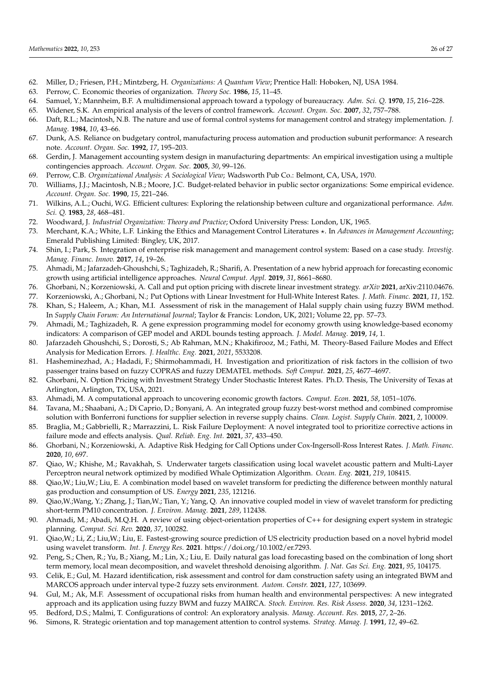- <span id="page-25-0"></span>62. Miller, D.; Friesen, P.H.; Mintzberg, H. *Organizations: A Quantum View*; Prentice Hall: Hoboken, NJ, USA 1984.
- <span id="page-25-1"></span>63. Perrow, C. Economic theories of organization. *Theory Soc.* **1986**, *15*, 11–45.
- <span id="page-25-2"></span>64. Samuel, Y.; Mannheim, B.F. A multidimensional approach toward a typology of bureaucracy. *Adm. Sci. Q.* **1970**, *15*, 216–228.
- <span id="page-25-3"></span>65. Widener, S.K. An empirical analysis of the levers of control framework. *Account. Organ. Soc.* **2007**, *32*, 757–788.
- <span id="page-25-4"></span>66. Daft, R.L.; Macintosh, N.B. The nature and use of formal control systems for management control and strategy implementation. *J. Manag.* **1984**, *10*, 43–66.
- <span id="page-25-5"></span>67. Dunk, A.S. Reliance on budgetary control, manufacturing process automation and production subunit performance: A research note. *Account. Organ. Soc.* **1992**, *17*, 195–203.
- <span id="page-25-6"></span>68. Gerdin, J. Management accounting system design in manufacturing departments: An empirical investigation using a multiple contingencies approach. *Account. Organ. Soc.* **2005**, *30*, 99–126.
- <span id="page-25-7"></span>69. Perrow, C.B. *Organizational Analysis: A Sociological View*; Wadsworth Pub Co.: Belmont, CA, USA, 1970.
- <span id="page-25-8"></span>70. Williams, J.J.; Macintosh, N.B.; Moore, J.C. Budget-related behavior in public sector organizations: Some empirical evidence. *Account. Organ. Soc.* **1990**, *15*, 221–246.
- <span id="page-25-9"></span>71. Wilkins, A.L.; Ouchi, W.G. Efficient cultures: Exploring the relationship between culture and organizational performance. *Adm. Sci. Q.* **1983**, *28*, 468–481.
- <span id="page-25-10"></span>72. Woodward, J. *Industrial Organization: Theory and Practice*; Oxford University Press: London, UK, 1965.
- <span id="page-25-11"></span>73. Merchant, K.A.; White, L.F. Linking the Ethics and Management Control Literatures  $\star$ . In *Advances in Management Accounting*; Emerald Publishing Limited: Bingley, UK, 2017.
- <span id="page-25-12"></span>74. Shin, I.; Park, S. Integration of enterprise risk management and management control system: Based on a case study. *Investig. Manag. Financ. Innov.* **2017**, *14*, 19–26.
- <span id="page-25-13"></span>75. Ahmadi, M.; Jafarzadeh-Ghoushchi, S.; Taghizadeh, R.; Sharifi, A. Presentation of a new hybrid approach for forecasting economic growth using artificial intelligence approaches. *Neural Comput. Appl.* **2019**, *31*, 8661–8680.
- <span id="page-25-14"></span>76. Ghorbani, N.; Korzeniowski, A. Call and put option pricing with discrete linear investment strategy. *arXiv* **2021**, arXiv:2110.04676.
- <span id="page-25-16"></span><span id="page-25-15"></span>77. Korzeniowski, A.; Ghorbani, N.; Put Options with Linear Investment for Hull-White Interest Rates. *J. Math. Financ.* **2021**, *11*, 152. 78. Khan, S.; Haleem, A.; Khan, M.I. Assessment of risk in the management of Halal supply chain using fuzzy BWM method.
- In *Supply Chain Forum: An International Journal*; Taylor & Francis: London, UK, 2021; Volume 22, pp. 57–73. 79. Ahmadi, M.; Taghizadeh, R. A gene expression programming model for economy growth using knowledge-based economy
- <span id="page-25-17"></span>indicators: A comparison of GEP model and ARDL bounds testing approach. *J. Model. Manag.* **2019**, *14*, 1.
- <span id="page-25-18"></span>80. Jafarzadeh Ghoushchi, S.; Dorosti, S.; Ab Rahman, M.N.; Khakifirooz, M.; Fathi, M. Theory-Based Failure Modes and Effect Analysis for Medication Errors. *J. Healthc. Eng.* **2021**, *2021*, 5533208.
- <span id="page-25-19"></span>81. Hasheminezhad, A.; Hadadi, F.; Shirmohammadi, H. Investigation and prioritization of risk factors in the collision of two passenger trains based on fuzzy COPRAS and fuzzy DEMATEL methods. *Soft Comput.* **2021**, *25*, 4677–4697.
- <span id="page-25-20"></span>82. Ghorbani, N. Option Pricing with Investment Strategy Under Stochastic Interest Rates. Ph.D. Thesis, The University of Texas at Arlington, Arlington, TX, USA, 2021.
- <span id="page-25-21"></span>83. Ahmadi, M. A computational approach to uncovering economic growth factors. *Comput. Econ.* **2021**, *58*, 1051–1076.
- <span id="page-25-22"></span>84. Tavana, M.; Shaabani, A.; Di Caprio, D.; Bonyani, A. An integrated group fuzzy best-worst method and combined compromise solution with Bonferroni functions for supplier selection in reverse supply chains. *Clean. Logist. Supply Chain.* **2021**, *2*, 100009.
- <span id="page-25-23"></span>85. Braglia, M.; Gabbrielli, R.; Marrazzini, L. Risk Failure Deployment: A novel integrated tool to prioritize corrective actions in failure mode and effects analysis. *Qual. Reliab. Eng. Int.* **2021**, *37*, 433–450.
- <span id="page-25-24"></span>86. Ghorbani, N.; Korzeniowski, A. Adaptive Risk Hedging for Call Options under Cox-Ingersoll-Ross Interest Rates. *J. Math. Financ.* **2020**, *10*, 697.
- <span id="page-25-25"></span>87. Qiao, W.; Khishe, M.; Ravakhah, S. Underwater targets classification using local wavelet acoustic pattern and Multi-Layer Perceptron neural network optimized by modified Whale Optimization Algorithm. *Ocean. Eng.* **2021**, *219*, 108415.
- <span id="page-25-26"></span>88. Qiao,W.; Liu,W.; Liu, E. A combination model based on wavelet transform for predicting the difference between monthly natural gas production and consumption of US. *Energy* **2021**, *235*, 121216.
- <span id="page-25-27"></span>89. Qiao,W.;Wang, Y.; Zhang, J.; Tian,W.; Tian, Y.; Yang, Q. An innovative coupled model in view of wavelet transform for predicting short-term PM10 concentration. *J. Environ. Manag.* **2021**, *289*, 112438.
- <span id="page-25-28"></span>90. Ahmadi, M.; Abadi, M.Q.H. A review of using object-orientation properties of C++ for designing expert system in strategic planning. *Comput. Sci. Rev.* **2020**, *37*, 100282.
- <span id="page-25-29"></span>91. Qiao,W.; Li, Z.; Liu,W.; Liu, E. Fastest-growing source prediction of US electricity production based on a novel hybrid model using wavelet transform. *Int. J. Energy Res.* **2021**. https://doi.org/10.1002/er.7293.
- <span id="page-25-30"></span>92. Peng, S.; Chen, R.; Yu, B.; Xiang, M.; Lin, X.; Liu, E. Daily natural gas load forecasting based on the combination of long short term memory, local mean decomposition, and wavelet threshold denoising algorithm. *J. Nat. Gas Sci. Eng.* **2021**, *95*, 104175.
- <span id="page-25-31"></span>93. Celik, E.; Gul, M. Hazard identification, risk assessment and control for dam construction safety using an integrated BWM and MARCOS approach under interval type-2 fuzzy sets environment. *Autom. Constr.* **2021**, *127*, 103699.
- <span id="page-25-32"></span>94. Gul, M.; Ak, M.F. Assessment of occupational risks from human health and environmental perspectives: A new integrated approach and its application using fuzzy BWM and fuzzy MAIRCA. *Stoch. Environ. Res. Risk Assess.* **2020**, *34*, 1231–1262.
- <span id="page-25-33"></span>95. Bedford, D.S.; Malmi, T. Configurations of control: An exploratory analysis. *Manag. Account. Res.* **2015**, *27*, 2–26.
- <span id="page-25-34"></span>96. Simons, R. Strategic orientation and top management attention to control systems. *Strateg. Manag. J.* **1991**, *12*, 49–62.